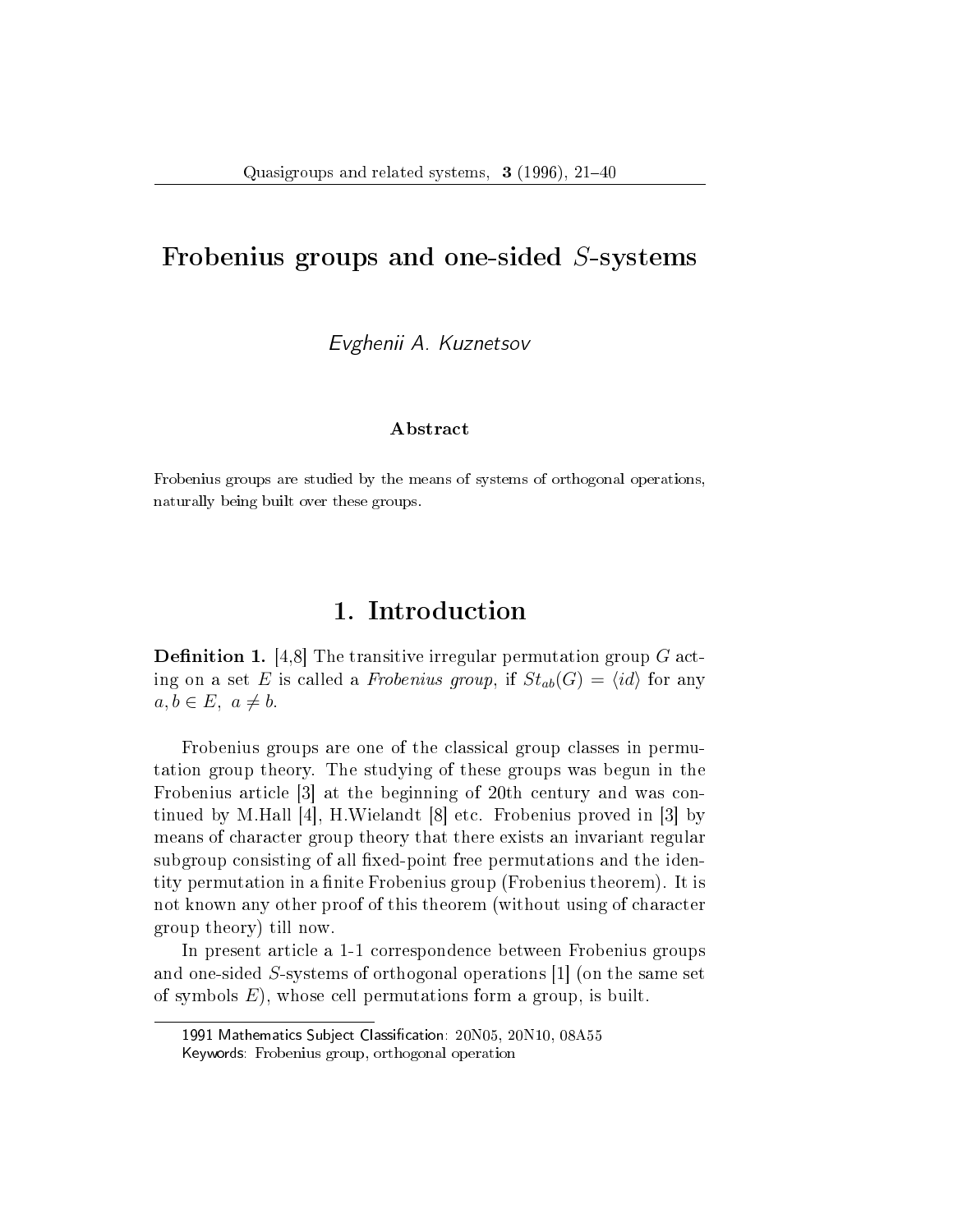### Frobenius groups and one-sided S-systems

Evghenii A. Kuznetsov

#### Abstract

Frobenius groups are studied by the means of systems of orthogonal operations, naturally being built over these groups.

# 1. Introduction

**Definition 1.** [4,8] The transitive irregular permutation group  $G$  acting on a set E is called a Frobenius group, if  $St_{ab}(G) = \langle id \rangle$  for any  $a, b \in E, a \neq b.$ 

Frobenius groups are one of the classical group classes in permutation group theory. The studying of these groups was begun in the Frobenius article [3] at the beginning of 20th century and was continued by M.Hall [4], H.Wielandt [8] etc. Frobenius proved in [3] by means of character group theory that there exists an invariant regular subgroup consisting of all fixed-point free permutations and the identity permutation in a finite Frobenius group (Frobenius theorem). It is not known any other proof of this theorem (without using of character group theory) till now.

In present article a 1-1 correspondence between Frobenius groups and one-sided S-systems of orthogonal operations [1] (on the same set of symbols  $E$ ), whose cell permutations form a group, is built.

<sup>1991</sup> Mathematics Subject Classification: 20N05, 20N10, 08A55 Keywords: Frobenius group, orthogonal operation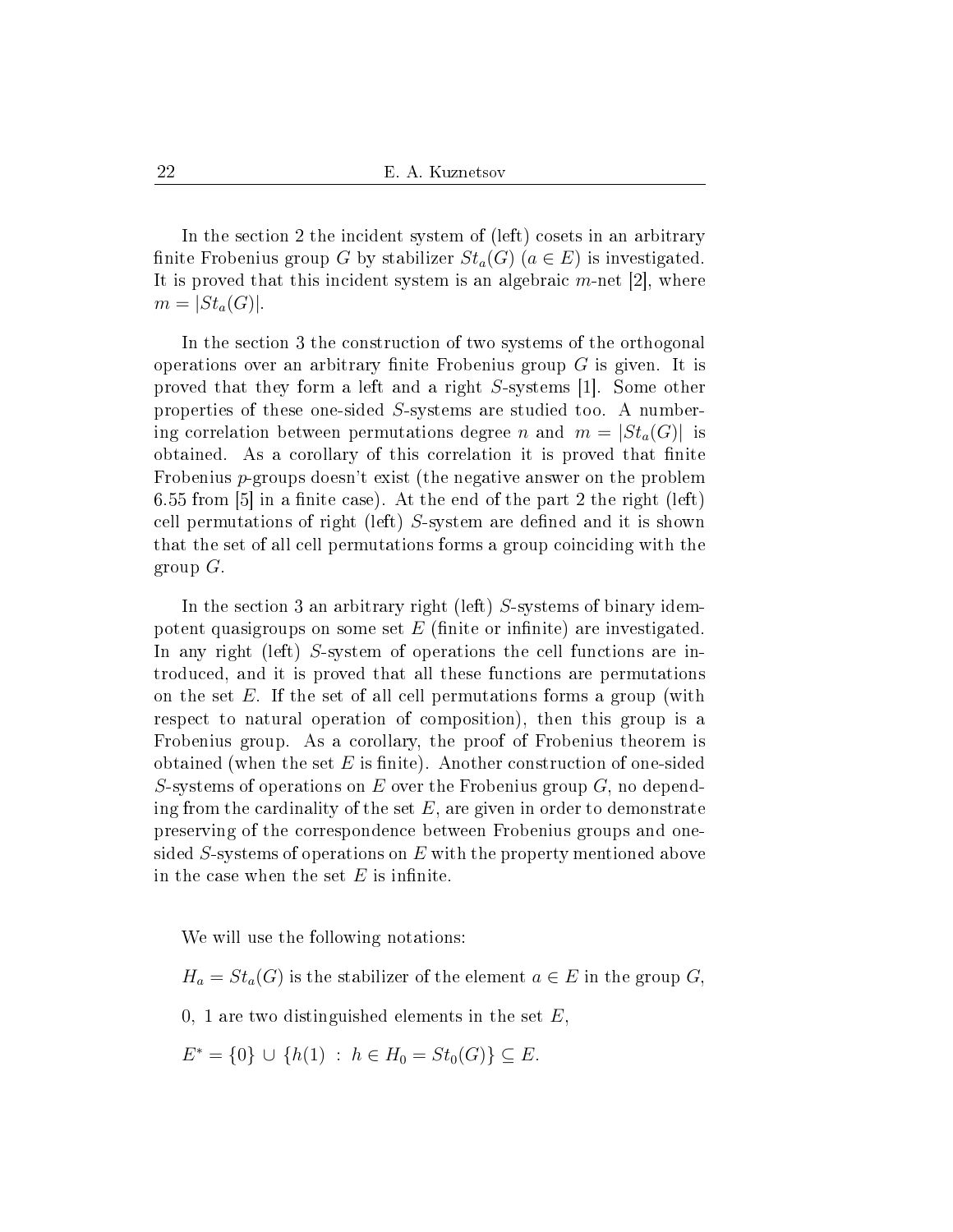In the section 2 the incident system of (left) cosets in an arbitrary finite Frobenius group G by stabilizer  $St_a(G)$   $(a \in E)$  is investigated. It is proved that this incident system is an algebraic  $m$ -net [2], where  $m = |St_a(G)|$ .

In the section 3 the construction of two systems of the orthogonal operations over an arbitrary finite Frobenius group  $G$  is given. It is proved that they form a left and a right S-systems [1]. Some other properties of these one-sided S-systems are studied too. A numbering correlation between permutations degree n and  $m = |St_a(G)|$  is obtained. As a corollary of this correlation it is proved that finite Frobenius p-groups doesn't exist (the negative answer on the problem 6.55 from [5] in a finite case). At the end of the part 2 the right (left) cell permutations of right (left)  $S$ -system are defined and it is shown that the set of all cell permutations forms a group coinciding with the group  $G$ .

In the section 3 an arbitrary right (left) S-systems of binary idempotent quasigroups on some set  $E$  (finite or infinite) are investigated. In any right (left) S-system of operations the cell functions are introduced, and it is proved that all these functions are permutations on the set  $E$ . If the set of all cell permutations forms a group (with respect to natural operation of composition), then this group is a Frobenius group. As a corollary, the proof of Frobenius theorem is obtained (when the set  $E$  is finite). Another construction of one-sided S-systems of operations on E over the Frobenius group  $G$ , no depending from the cardinality of the set  $E$ , are given in order to demonstrate preserving of the correspondence between Frobenius groups and onesided S-systems of operations on  $E$  with the property mentioned above in the case when the set  $E$  is infinite.

We will use the following notations:

 $H_a = St_a(G)$  is the stabilizer of the element  $a \in E$  in the group  $G_i$ 

0, 1 are two distinguished elements in the set  $E$ ,

 $E^* = \{0\} \cup \{h(1) : h \in H_0 = St_0(G)\} \subseteq E.$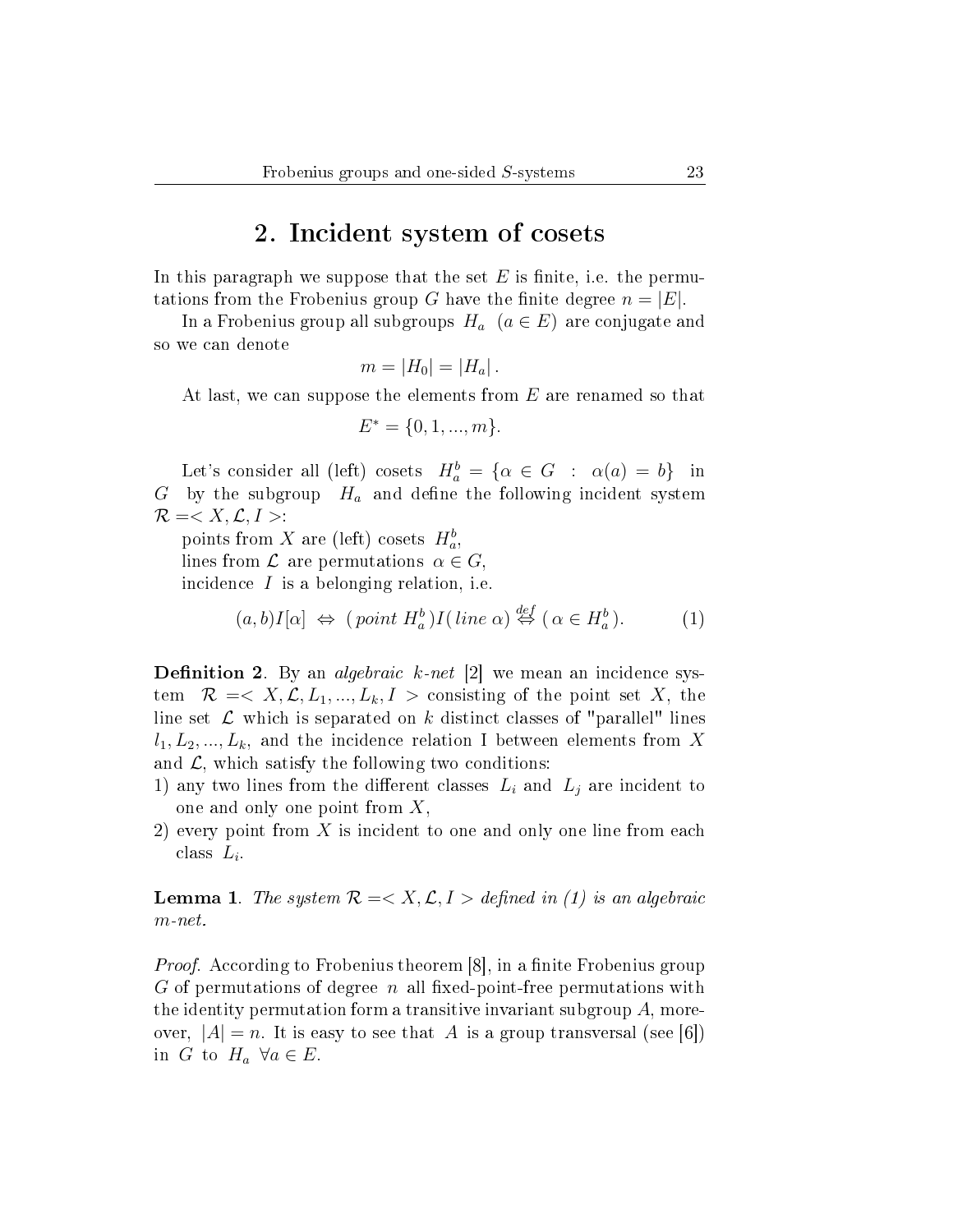### 2. Incident system of cosets

In this paragraph we suppose that the set  $E$  is finite, i.e. the permutations from the Frobenius group G have the finite degree  $n = |E|$ .

In a Frobenius group all subgroups  $H_a$   $(a \in E)$  are conjugate and so we can denote

$$
m=|H_0|=|H_a|.
$$

At last, we can suppose the elements from  $E$  are renamed so that

$$
E^* = \{0, 1, ..., m\}.
$$

Let's consider all (left) cosets  $H_a^b = \{ \alpha \in G : \alpha(a) = b \}$  in G by the subgroup  $H_a$  and define the following incident system  $\mathcal{R} = \langle X, \mathcal{L}, I \rangle$ :

points from X are (left) cosets  $H_a^b$ , lines from  $\mathcal L$  are permutations  $\alpha \in G$ , incidence  $I$  is a belonging relation, i.e.

$$
(a, b)I[\alpha] \Leftrightarrow (point H_a^b)I(\text{ line }\alpha) \stackrel{def}{\Leftrightarrow} (\alpha \in H_a^b). \tag{1}
$$

**Definition 2.** By an *algebraic*  $k$ -net [2] we mean an incidence system  $\mathcal{R} = \langle X, \mathcal{L}, L_1, ..., L_k, I \rangle$  consisting of the point set X, the line set  $\mathcal L$  which is separated on k distinct classes of "parallel" lines  $l_1, L_2, ..., L_k$ , and the incidence relation I between elements from X and  $\mathcal{L}$ , which satisfy the following two conditions:

- 1) any two lines from the different classes  $L_i$  and  $L_j$  are incident to one and only one point from X,
- 2) every point from  $X$  is incident to one and only one line from each class  $L_i$ .

**Lemma 1.** The system  $\mathcal{R} = \langle X, \mathcal{L}, I \rangle$  defined in (1) is an algebraic  $m$ -net.

*Proof.* According to Frobenius theorem  $[8]$ , in a finite Frobenius group G of permutations of degree n all fixed-point-free permutations with the identity permutation form a transitive invariant subgroup  $A$ , moreover,  $|A| = n$ . It is easy to see that A is a group transversal (see [6]) in G to  $H_a \ \forall a \in E$ .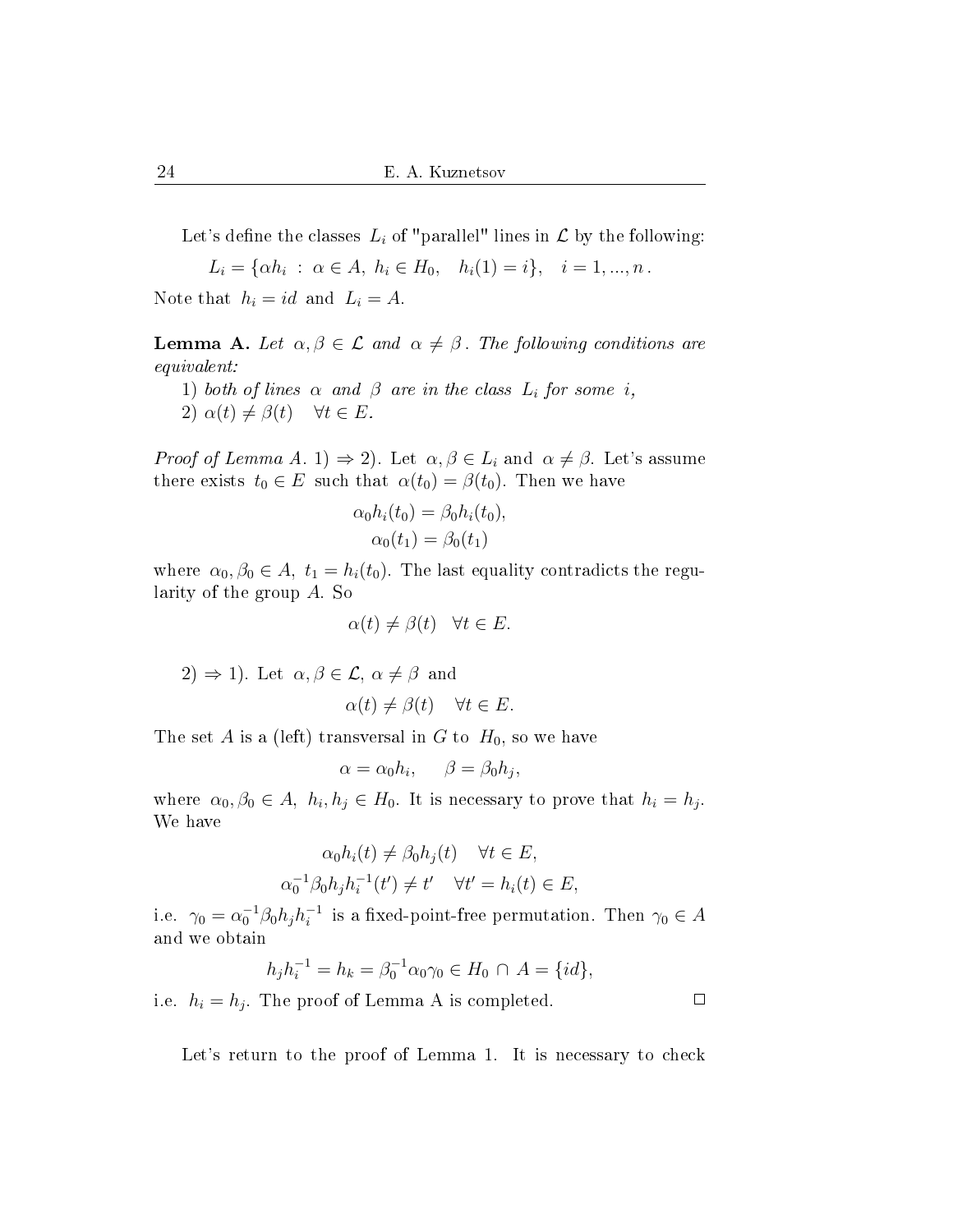Let's define the classes  $L_i$  of "parallel" lines in  $\mathcal L$  by the following:

 $L_i = \{\alpha h_i : \alpha \in A, h_i \in H_0, h_i(1) = i\}, i = 1, ..., n$ .

Note that  $h_i = id$  and  $L_i = A$ .

**Lemma A.** Let  $\alpha, \beta \in \mathcal{L}$  and  $\alpha \neq \beta$ . The following conditions are equivalent:

1) both of lines  $\alpha$  and  $\beta$  are in the class  $L_i$  for some i, 2)  $\alpha(t) \neq \beta(t) \quad \forall t \in E$ .

*Proof of Lemma A.* 1)  $\Rightarrow$  2). Let  $\alpha, \beta \in L_i$  and  $\alpha \neq \beta$ . Let's assume there exists  $t_0 \in E$  such that  $\alpha(t_0) = \beta(t_0)$ . Then we have

$$
\alpha_0 h_i(t_0) = \beta_0 h_i(t_0),
$$
  

$$
\alpha_0(t_1) = \beta_0(t_1)
$$

where  $\alpha_0, \beta_0 \in A$ ,  $t_1 = h_i(t_0)$ . The last equality contradicts the regularity of the group A. So

$$
\alpha(t) \neq \beta(t) \quad \forall t \in E.
$$

 $2) \Rightarrow 1$ ). Let  $\alpha, \beta \in \mathcal{L}, \alpha \neq \beta$  and

$$
\alpha(t) \neq \beta(t) \quad \forall t \in E.
$$

The set A is a (left) transversal in G to  $H_0$ , so we have

$$
\alpha = \alpha_0 h_i, \quad \beta = \beta_0 h_j,
$$

where  $\alpha_0, \beta_0 \in A$ ,  $h_i, h_j \in H_0$ . It is necessary to prove that  $h_i = h_j$ . We have

$$
\alpha_0 h_i(t) \neq \beta_0 h_j(t) \quad \forall t \in E,
$$
  

$$
\alpha_0^{-1} \beta_0 h_j h_i^{-1}(t') \neq t' \quad \forall t' = h_i(t) \in E,
$$

i.e.  $\gamma_0 = \alpha_0^{-1} \beta_0 h_j h_i^{-1}$  is a fixed-point-free permutation. Then  $\gamma_0 \in A$ and we obtain

$$
h_j h_i^{-1} = h_k = \beta_0^{-1} \alpha_0 \gamma_0 \in H_0 \cap A = \{ id \},
$$

i.e.  $h_i = h_j$ . The proof of Lemma A is completed.

Let's return to the proof of Lemma 1. It is necessary to check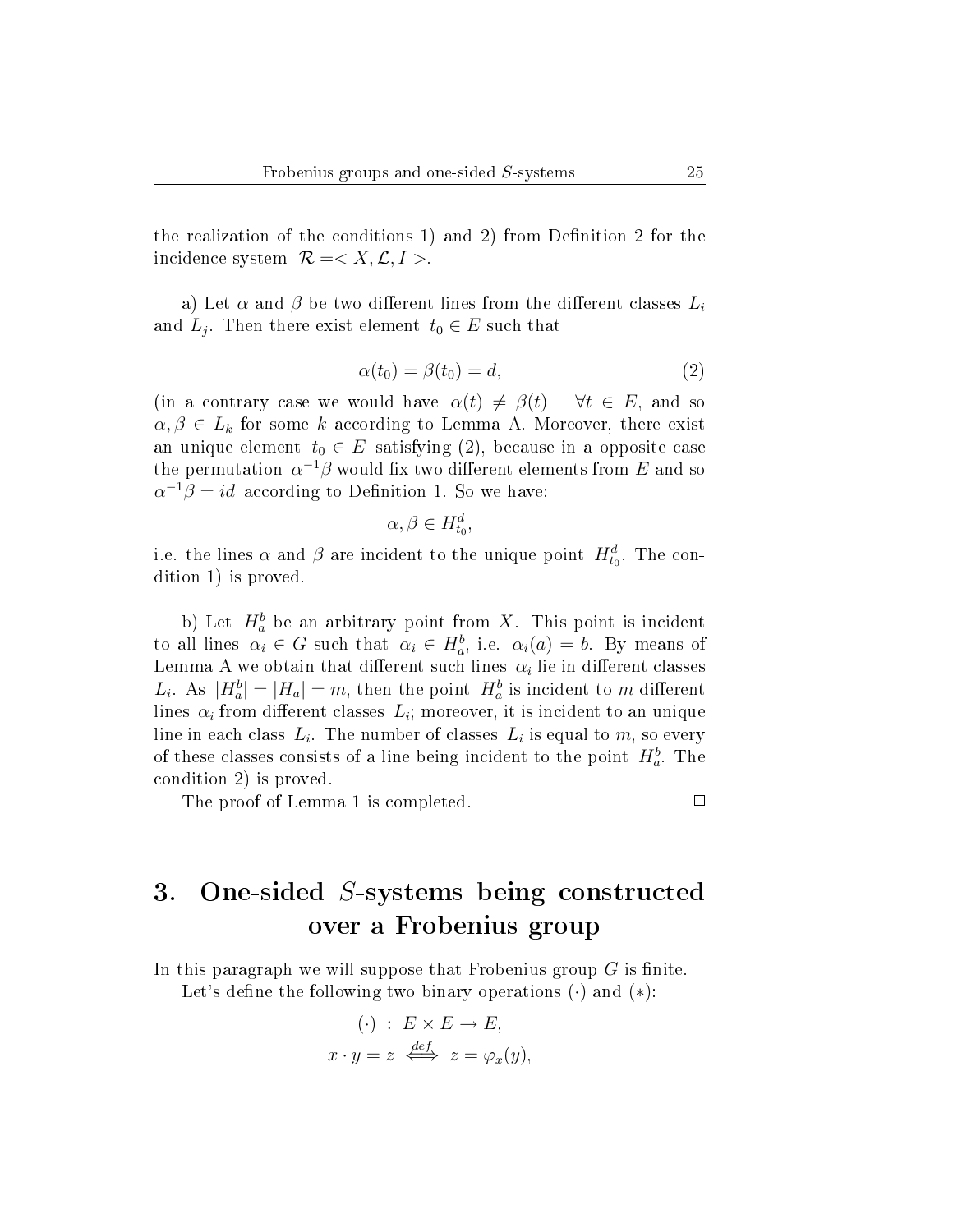the realization of the conditions 1) and 2) from Definition 2 for the incidence system  $\mathcal{R} = \langle X, \mathcal{L}, I \rangle$ .

a) Let  $\alpha$  and  $\beta$  be two different lines from the different classes  $L_i$ and  $L_j$ . Then there exist element  $t_0 \in E$  such that

$$
\alpha(t_0) = \beta(t_0) = d,\tag{2}
$$

(in a contrary case we would have  $\alpha(t) \neq \beta(t)$   $\forall t \in E$ , and so  $\alpha, \beta \in L_k$  for some k according to Lemma A. Moreover, there exist an unique element  $t_0 \in E$  satisfying (2), because in a opposite case the permutation  $\alpha^{-1}\beta$  would fix two different elements from E and so  $\alpha^{-1}\beta = id$  according to Definition 1. So we have:

$$
\alpha, \beta \in H^d_{t_0},
$$

i.e. the lines  $\alpha$  and  $\beta$  are incident to the unique point  $H_{t_0}^d$ . The condition 1) is proved.

b) Let  $H_a^b$  be an arbitrary point from X. This point is incident to all lines  $\alpha_i \in G$  such that  $\alpha_i \in H_a^b$ , i.e.  $\alpha_i(a) = b$ . By means of Lemma A we obtain that different such lines  $\alpha_i$  lie in different classes  $L_i$ . As  $|H_a^b| = |H_a| = m$ , then the point  $H_a^b$  is incident to m different lines  $\alpha_i$  from different classes  $L_i$ ; moreover, it is incident to an unique line in each class  $L_i$ . The number of classes  $L_i$  is equal to  $m$ , so every of these classes consists of a line being incident to the point  $H_a^b$ . The condition 2) is proved.

The proof of Lemma 1 is completed.

 $\Box$ 

# 3. One-sided S-systems being constructed over a Frobenius group

In this paragraph we will suppose that Frobenius group  $G$  is finite. Let's define the following two binary operations  $(\cdot)$  and  $(*)$ :

$$
(\cdot) : E \times E \to E,
$$
  

$$
x \cdot y = z \iff z = \varphi_x(y),
$$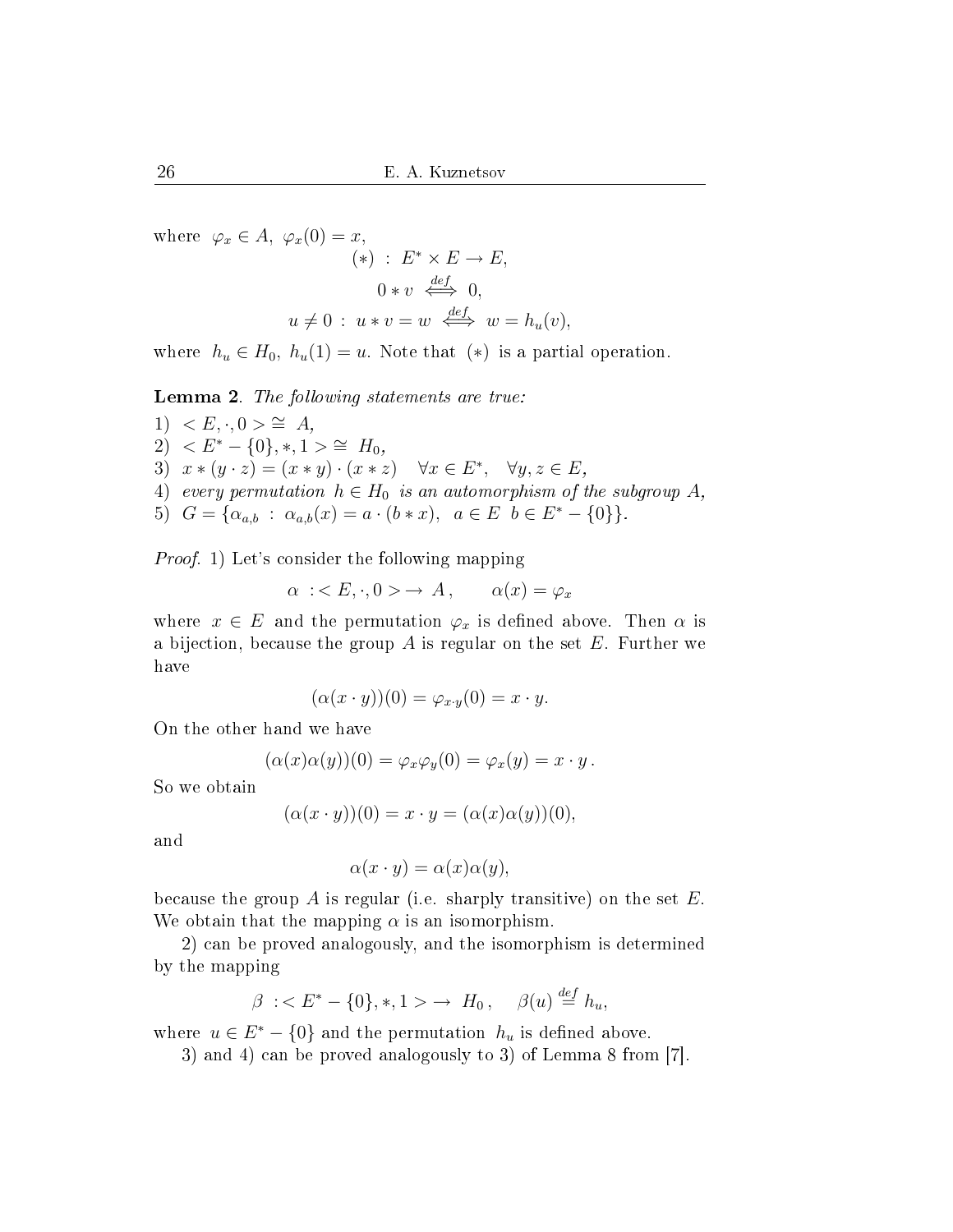where  $\varphi_x \in A$ ,  $\varphi_x(0) = x$ ,  $(*)$  :  $E^* \times E \rightarrow E$ ,  $0 * v \iff 0,$  $u \neq 0$ :  $u * v = w \stackrel{def}{\iff} w = h_u(v)$ ,

where  $h_u \in H_0$ ,  $h_u(1) = u$ . Note that  $(*)$  is a partial operation.

Lemma 2. The following statements are true:

1) 
$$
\langle E, \cdot, 0 \rangle \cong A
$$
,  
\n2)  $\langle E^* - \{0\}, *, 1 \rangle \cong H_0$ ,  
\n3)  $x * (y \cdot z) = (x * y) \cdot (x * z)$   $\forall x \in E^*$ ,  $\forall y, z \in E$ ,  
\n4) every permutation  $h \in H_0$  is an automorphism of the subgroup A,  
\n5)  $G = \{ \alpha_{a,b} : \alpha_{a,b}(x) = a \cdot (b * x), a \in E \ b \in E^* - \{0\} \}.$ 

Proof. 1) Let's consider the following mapping

 $\alpha : \langle E, \cdot, 0 \rangle \to A, \quad \alpha(x) = \varphi_x$ 

where  $x \in E$  and the permutation  $\varphi_x$  is defined above. Then  $\alpha$  is a bijection, because the group  $A$  is regular on the set  $E$ . Further we have

$$
(\alpha(x \cdot y))(0) = \varphi_{x \cdot y}(0) = x \cdot y.
$$

On the other hand we have

$$
(\alpha(x)\alpha(y))(0) = \varphi_x \varphi_y(0) = \varphi_x(y) = x \cdot y.
$$

So we obtain

$$
(\alpha(x \cdot y))(0) = x \cdot y = (\alpha(x)\alpha(y))(0),
$$

and

$$
\alpha(x \cdot y) = \alpha(x)\alpha(y),
$$

because the group A is regular (i.e. sharply transitive) on the set  $E$ . We obtain that the mapping  $\alpha$  is an isomorphism.

2) can be proved analogously, and the isomorphism is determined by the mapping

$$
\beta \; : \;  \; \to \; H_0\,, \quad \beta(u) \stackrel{\text{def}}{=} h_u,
$$

where  $u \in E^* - \{0\}$  and the permutation  $h_u$  is defined above.

3) and 4) can be proved analogously to 3) of Lemma 8 from [7].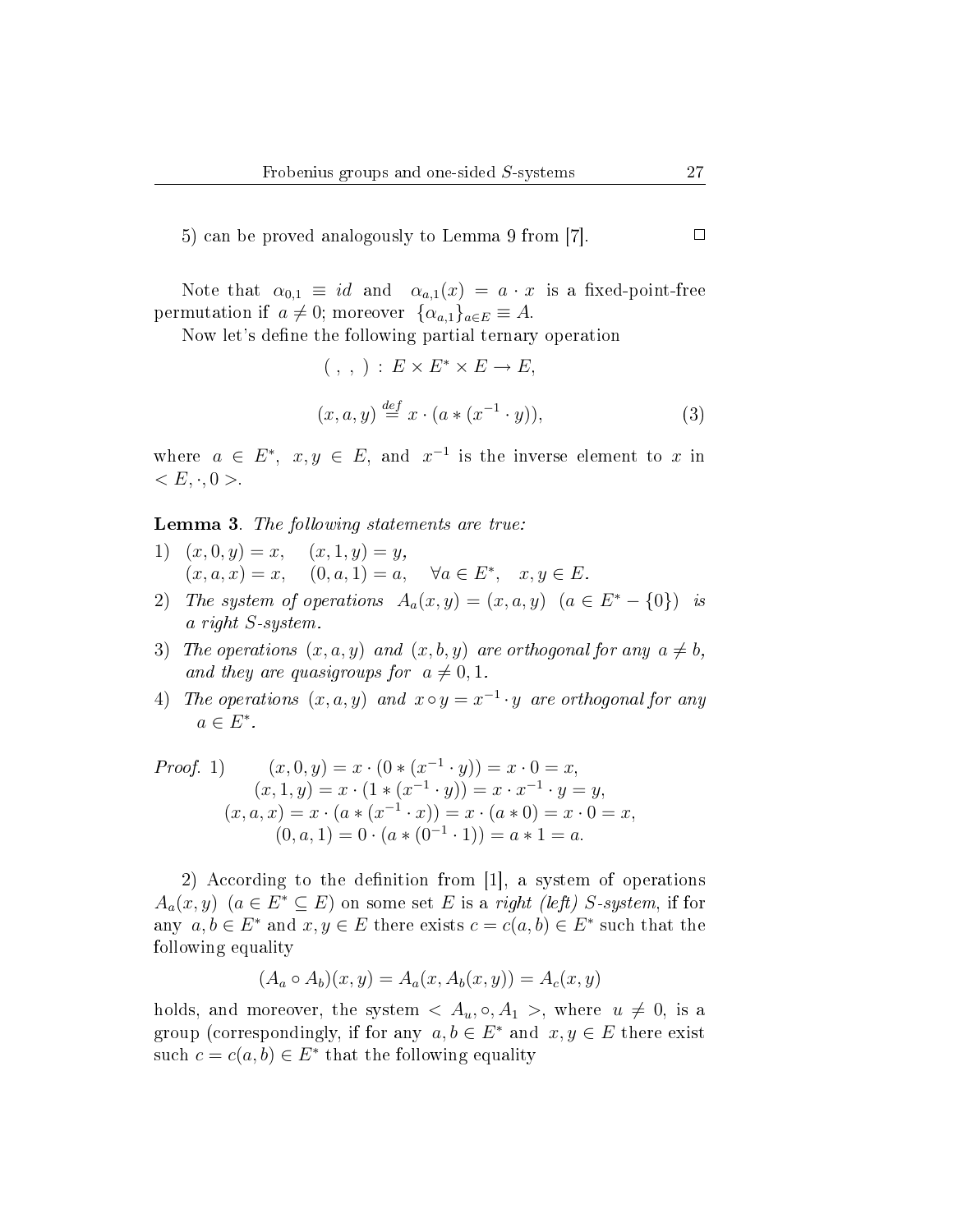5) can be proved analogously to Lemma 9 from [7].

Note that  $\alpha_{0,1} \equiv id$  and  $\alpha_{a,1}(x) = a \cdot x$  is a fixed-point-free permutation if  $a \neq 0$ ; moreover  $\{\alpha_{a,1}\}_{a \in E} \equiv A$ .

Now let's define the following partial ternary operation

$$
(\ ,\ ,\ ) : E \times E^* \times E \to E,
$$
  

$$
(x, a, y) \stackrel{def}{=} x \cdot (a * (x^{-1} \cdot y)),
$$
 (3)

where  $a \in E^*$ ,  $x, y \in E$ , and  $x^{-1}$  is the inverse element to x in  $\langle E, \cdot, 0 \rangle$ .

Lemma 3. The following statements are true:

- 1)  $(x, 0, y) = x$ ,  $(x, 1, y) = y$ ,  $(x, a, x) = x, (0, a, 1) = a, \forall a \in E^*, x, y \in E.$
- 2) The system of operations  $A_a(x,y) = (x,a,y)$   $(a \in E^* \{0\})$  is a right S-system.
- 3) The operations  $(x, a, y)$  and  $(x, b, y)$  are orthogonal for any  $a \neq b$ , and they are quasigroups for  $a \neq 0, 1$ .
- 4) The operations  $(x, a, y)$  and  $x \circ y = x^{-1} \cdot y$  are orthogonal for any  $a \in E^*$ .

*Proof.* 1) 
$$
(x, 0, y) = x \cdot (0 * (x^{-1} \cdot y)) = x \cdot 0 = x,
$$

$$
(x, 1, y) = x \cdot (1 * (x^{-1} \cdot y)) = x \cdot x^{-1} \cdot y = y,
$$

$$
(x, a, x) = x \cdot (a * (x^{-1} \cdot x)) = x \cdot (a * 0) = x \cdot 0 = x,
$$

$$
(0, a, 1) = 0 \cdot (a * (0^{-1} \cdot 1)) = a * 1 = a.
$$

2) According to the definition from [1], a system of operations  $A_a(x, y)$   $(a \in E^* \subseteq E)$  on some set E is a right (left) S-system, if for any  $a, b \in E^*$  and  $x, y \in E$  there exists  $c = c(a, b) \in E^*$  such that the following equality

$$
(A_a \circ A_b)(x, y) = A_a(x, A_b(x, y)) = A_c(x, y)
$$

holds, and moreover, the system  $\langle A_u, \circ, A_1 \rangle$ , where  $u \neq 0$ , is a group (correspondingly, if for any  $a, b \in E^*$  and  $x, y \in E$  there exist such  $c = c(a, b) \in E^*$  that the following equality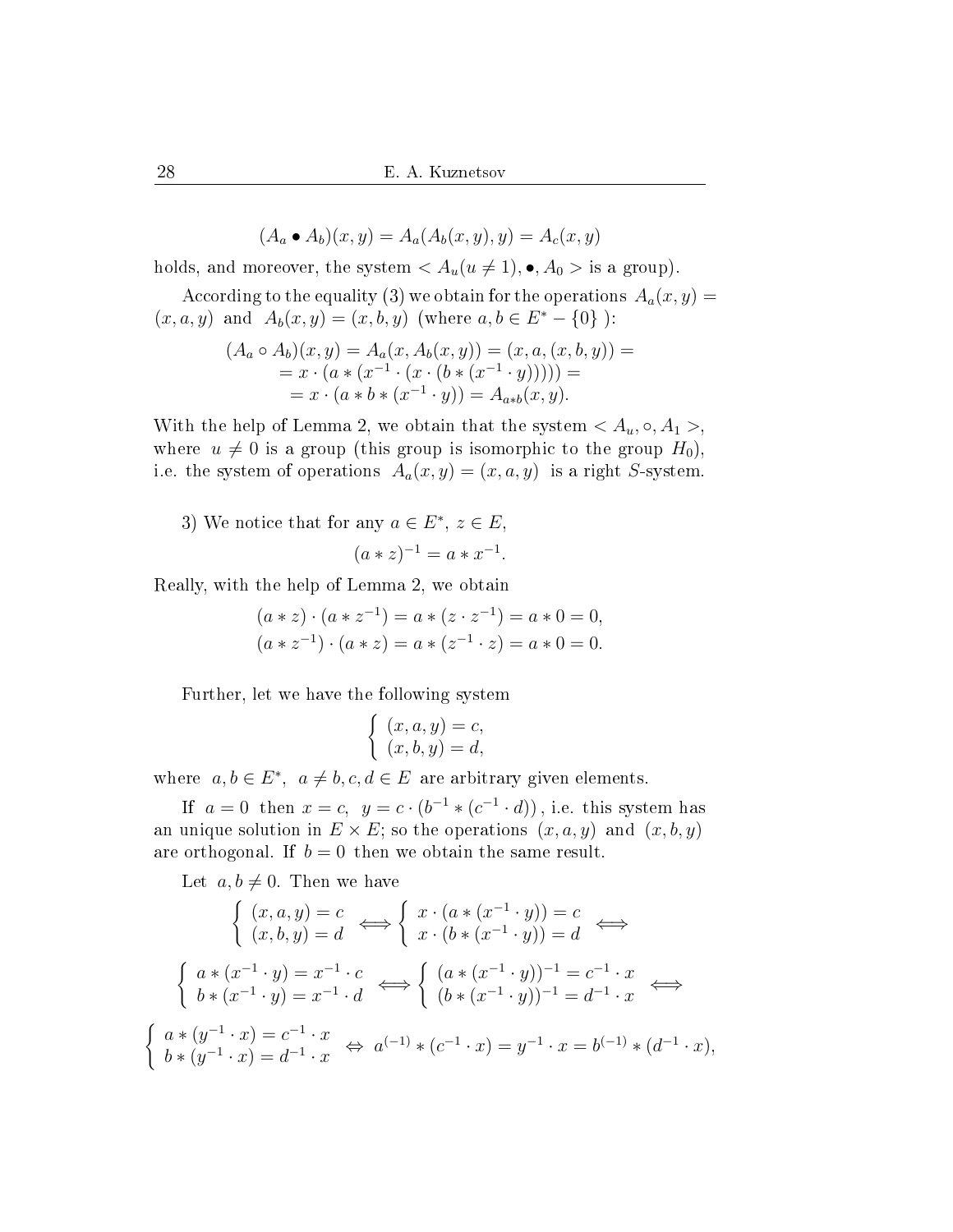$(A_a \bullet A_b)(x, y) = A_a(A_b(x, y), y) = A_c(x, y)$ 

holds, and moreover, the system  $\langle A_u(u \neq 1), \bullet, A_0 \rangle$  is a group).

According to the equality (3) we obtain for the operations  $A_a(x, y) =$  $(x, a, y)$  and  $A_b(x, y) = (x, b, y)$  (where  $a, b \in E^* - \{0\}$ ):

$$
(Aa \circ Ab)(x, y) = Aa(x, Ab(x, y)) = (x, a, (x, b, y)) == x \cdot (a * (x-1 \cdot (x \cdot (b * (x-1 \cdot y)))) == x \cdot (a * b * (x-1 \cdot y)) = Aa*b(x, y).
$$

With the help of Lemma 2, we obtain that the system  $\langle A_u, \circ, A_1 \rangle$ , where  $u \neq 0$  is a group (this group is isomorphic to the group  $H_0$ ), i.e. the system of operations  $A_a(x, y) = (x, a, y)$  is a right S-system.

3) We notice that for any  $a \in E^*$ ,  $z \in E$ ,  $(a * z)^{-1} = a * x^{-1}.$ 

Really, with the help of Lemma 2, we obtain

$$
(a * z) \cdot (a * z^{-1}) = a * (z \cdot z^{-1}) = a * 0 = 0,
$$
  

$$
(a * z^{-1}) \cdot (a * z) = a * (z^{-1} \cdot z) = a * 0 = 0.
$$

Further, let we have the following system

$$
\begin{cases}\n(x, a, y) = c, \\
(x, b, y) = d,\n\end{cases}
$$

where  $a, b \in E^*$ ,  $a \neq b, c, d \in E$  are arbitrary given elements.

If  $a = 0$  then  $x = c$ ,  $y = c \cdot (b^{-1} * (c^{-1} \cdot d))$ , i.e. this system has an unique solution in  $E \times E$ ; so the operations  $(x, a, y)$  and  $(x, b, y)$ are orthogonal. If  $b = 0$  then we obtain the same result.

Let  $a, b \neq 0$ . Then we have

$$
\begin{cases}\n(x, a, y) = c \\
(x, b, y) = d\n\end{cases}\n\Leftrightarrow\n\begin{cases}\nx \cdot (a * (x^{-1} \cdot y)) = c \\
x \cdot (b * (x^{-1} \cdot y)) = d\n\end{cases}\n\Leftrightarrow
$$
\n
$$
\begin{cases}\na * (x^{-1} \cdot y) = x^{-1} \cdot c \\
b * (x^{-1} \cdot y) = x^{-1} \cdot d\n\end{cases}\n\Leftrightarrow\n\begin{cases}\n(a * (x^{-1} \cdot y))^{-1} = c^{-1} \cdot x \\
(b * (x^{-1} \cdot y))^{-1} = d^{-1} \cdot x\n\end{cases}\n\Leftrightarrow
$$
\n
$$
\begin{cases}\na * (y^{-1} \cdot x) = c^{-1} \cdot x \\
b * (y^{-1} \cdot x) = d^{-1} \cdot x\n\end{cases}\n\Leftrightarrow\na^{(-1)} * (c^{-1} \cdot x) = y^{-1} \cdot x = b^{(-1)} * (d^{-1} \cdot x),
$$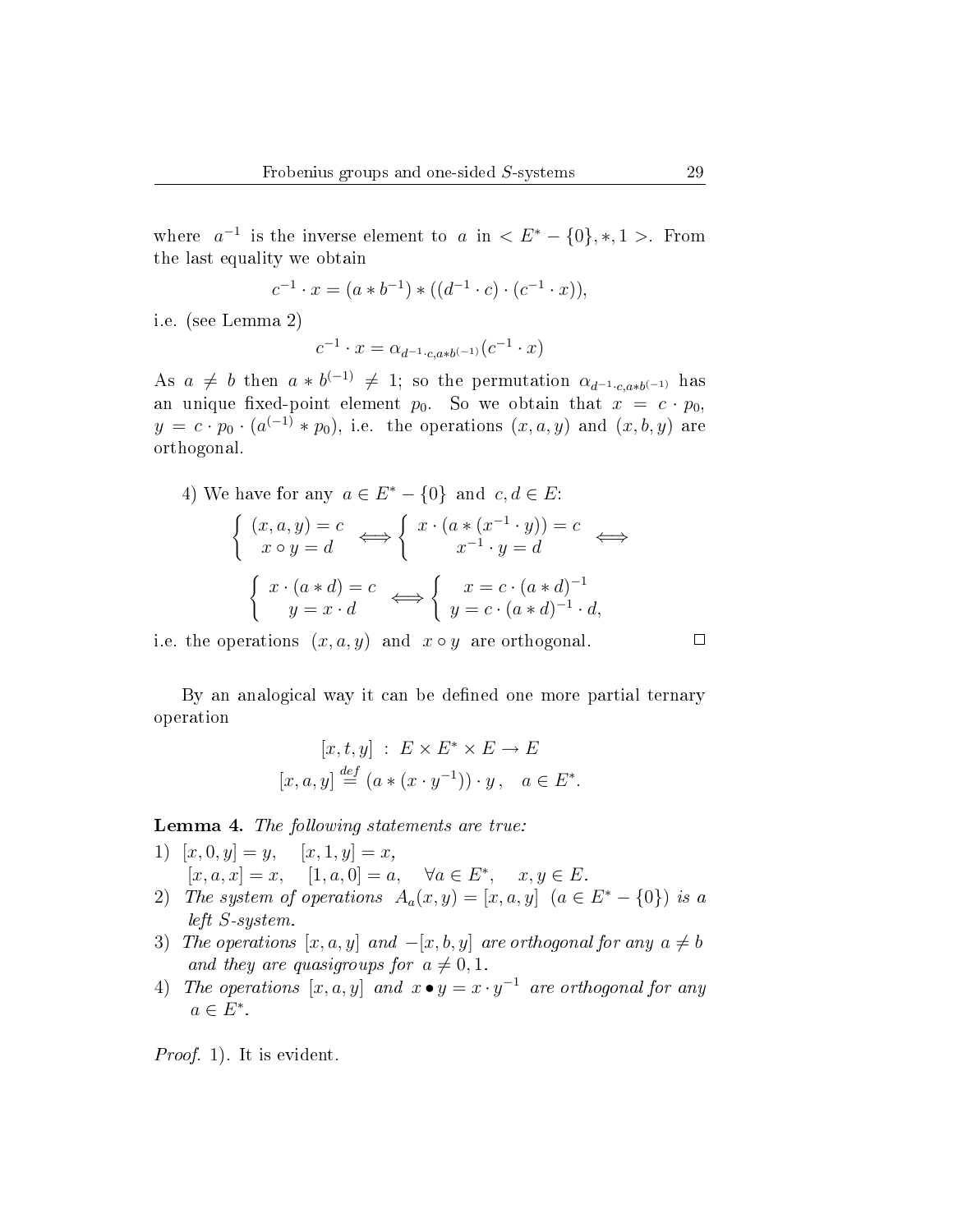where  $a^{-1}$  is the inverse element to a in  $\lt E^* - \{0\}, *, 1 >$ . From the last equality we obtain

$$
c^{-1} \cdot x = (a * b^{-1}) * ((d^{-1} \cdot c) \cdot (c^{-1} \cdot x)),
$$

i.e. (see Lemma 2)

$$
c^{-1} \cdot x = \alpha_{d^{-1} \cdot c, a * b^{(-1)}}(c^{-1} \cdot x)
$$

As  $a \neq b$  then  $a * b^{(-1)} \neq 1$ ; so the permutation  $\alpha_{d^{-1} \cdot c, a * b^{(-1)}}$  has an unique fixed-point element  $p_0$ . So we obtain that  $x = c \cdot p_0$ .  $y = c \cdot p_0 \cdot (a^{(-1)} * p_0)$ , i.e. the operations  $(x, a, y)$  and  $(x, b, y)$  are orthogonal.

4) We have for any 
$$
a \in E^* - \{0\}
$$
 and  $c, d \in E$ :

$$
\begin{cases}\n(x, a, y) = c & \Longleftrightarrow \begin{cases}\nx \cdot (a * (x^{-1} \cdot y)) = c & \Longleftrightarrow \\
x \circ y = d & \end{cases}\n\end{cases}
$$
\n
$$
\begin{cases}\nx \cdot (a * d) = c & \Longleftrightarrow \begin{cases}\nx = c \cdot (a * d)^{-1} \\
y = c \cdot (a * d)^{-1} \cdot d,\n\end{cases}
$$

i.e. the operations  $(x, a, y)$  and  $x \circ y$  are orthogonal.

By an analogical way it can be defined one more partial ternary operation

$$
[x, t, y] : E \times E^* \times E \to E
$$
  

$$
[x, a, y] \stackrel{def}{=} (a * (x \cdot y^{-1})) \cdot y, \quad a \in E^*.
$$

Lemma 4. The following statements are true:

- 1)  $[x, 0, y] = y$ ,  $[x, 1, y] = x$ ,  $[x, a, x] = x, \quad [1, a, 0] = a, \quad \forall a \in E^*, \quad x, y \in E.$
- 2) The system of operations  $A_a(x,y) = [x, a, y]$   $(a \in E^* \{0\})$  is a left S-system.
- 3) The operations  $[x, a, y]$  and  $-[x, b, y]$  are orthogonal for any  $a \neq b$ and they are quasigroups for  $a \neq 0, 1$ .
- 4) The operations  $[x, a, y]$  and  $x \bullet y = x \cdot y^{-1}$  are orthogonal for any  $a \in E^*$ .

Proof. 1). It is evident.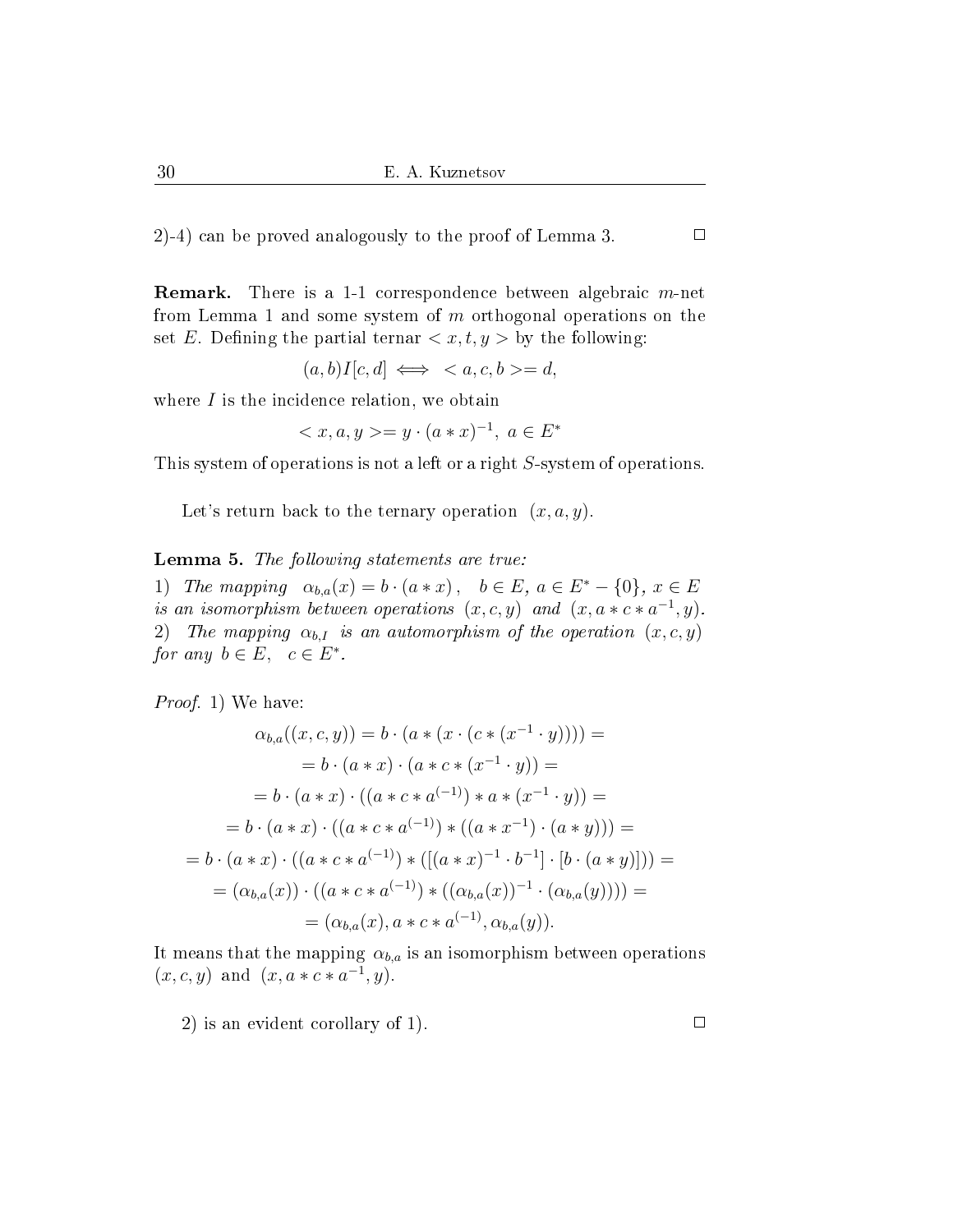2)-4) can be proved analogously to the proof of Lemma 3.

**Remark.** There is a 1-1 correspondence between algebraic  $m$ -net from Lemma 1 and some system of  $m$  orthogonal operations on the set E. Defining the partial ternar  $\langle x, t, y \rangle$  by the following:

$$
(a, b)I[c, d] \iff \langle a, c, b \rangle = d,
$$

where  $I$  is the incidence relation, we obtain

$$
\langle x, a, y \rangle = y \cdot (a * x)^{-1}, \ a \in E^*
$$

This system of operations is not a left or a right S-system of operations.

Let's return back to the ternary operation  $(x, a, y)$ .

Lemma 5. The following statements are true:

1) The mapping  $\alpha_{b,a}(x) = b \cdot (a * x), \quad b \in E, \ a \in E^* - \{0\}, \ x \in E$ is an isomorphism between operations  $(x, c, y)$  and  $(x, a * c * a^{-1}, y)$ . 2) The mapping  $\alpha_{b,I}$  is an automorphism of the operation  $(x, c, y)$ for any  $b \in E$ ,  $c \in E^*$ .

Proof. 1) We have:

$$
\alpha_{b,a}((x,c,y)) = b \cdot (a * (x \cdot (c * (x^{-1} \cdot y)))) =
$$
  
\n
$$
= b \cdot (a * x) \cdot (a * c * (x^{-1} \cdot y)) =
$$
  
\n
$$
= b \cdot (a * x) \cdot ((a * c * a^{(-1)}) * a * (x^{-1} \cdot y)) =
$$
  
\n
$$
= b \cdot (a * x) \cdot ((a * c * a^{(-1)}) * ((a * x^{-1}) \cdot (a * y))) =
$$
  
\n
$$
= b \cdot (a * x) \cdot ((a * c * a^{(-1)}) * ([(a * x)^{-1} \cdot b^{-1}] \cdot [b \cdot (a * y)])) =
$$
  
\n
$$
= (\alpha_{b,a}(x)) \cdot ((a * c * a^{(-1)}) * ((\alpha_{b,a}(x))^{-1} \cdot (\alpha_{b,a}(y)))) =
$$
  
\n
$$
= (\alpha_{b,a}(x), a * c * a^{(-1)}, \alpha_{b,a}(y)).
$$

It means that the mapping  $\alpha_{b,a}$  is an isomorphism between operations  $(x, c, y)$  and  $(x, a * c * a^{-1}, y)$ .

2) is an evident corollary of 1).

 $\Box$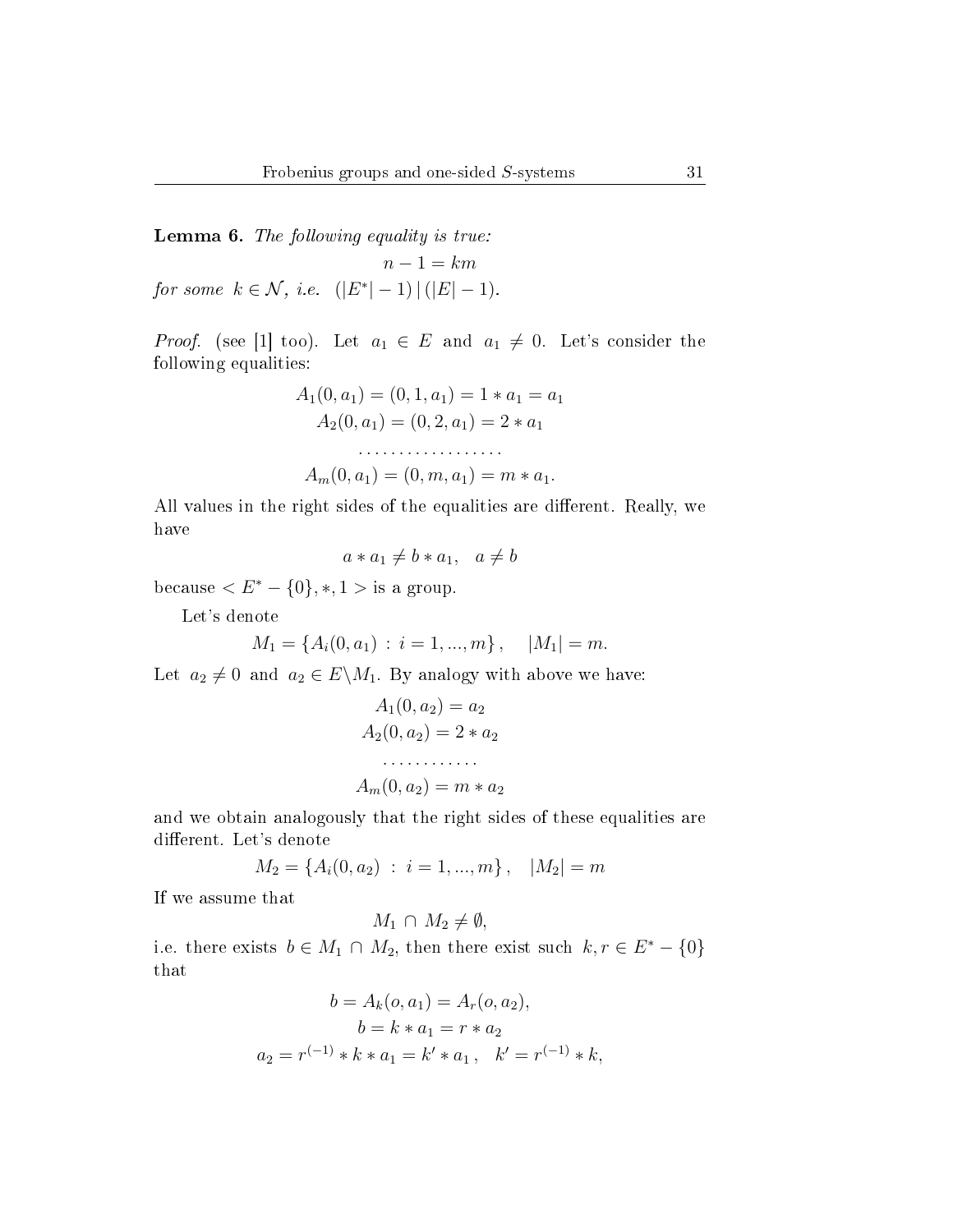Lemma 6. The following equality is true:  $n-1 = km$ for some  $k \in \mathcal{N}$ , i.e.  $(|E^*| - 1) | (|E| - 1)$ .

*Proof.* (see [1] too). Let  $a_1 \in E$  and  $a_1 \neq 0$ . Let's consider the following equalities:

$$
A_1(0, a_1) = (0, 1, a_1) = 1 * a_1 = a_1
$$
  
\n
$$
A_2(0, a_1) = (0, 2, a_1) = 2 * a_1
$$
  
\n
$$
\dots
$$
  
\n
$$
A_m(0, a_1) = (0, m, a_1) = m * a_1.
$$

All values in the right sides of the equalities are different. Really, we have

$$
a * a_1 \neq b * a_1, \quad a \neq b
$$

because  $\langle E^* - \{0\}, *, 1 > \text{is a group.} \rangle$ 

Let's denote

$$
M_1 = \{A_i(0, a_1) : i = 1, ..., m\}, \quad |M_1| = m.
$$

Let  $a_2 \neq 0$  and  $a_2 \in E \backslash M_1$ . By analogy with above we have:

$$
A_1(0, a_2) = a_2
$$
  
\n
$$
A_2(0, a_2) = 2 * a_2
$$
  
\n........  
\n
$$
A_m(0, a_2) = m * a_2
$$

and we obtain analogously that the right sides of these equalities are different. Let's denote

$$
M_2 = \{A_i(0, a_2) : i = 1, ..., m\}, \quad |M_2| = m
$$

If we assume that

$$
M_1 \cap M_2 \neq \emptyset,
$$

i.e. there exists  $b \in M_1 \cap M_2$ , then there exist such  $k, r \in E^* - \{0\}$ that

$$
b = A_k(o, a_1) = A_r(o, a_2),
$$
  
\n
$$
b = k * a_1 = r * a_2
$$
  
\n
$$
a_2 = r^{(-1)} * k * a_1 = k' * a_1, \quad k' = r^{(-1)} * k,
$$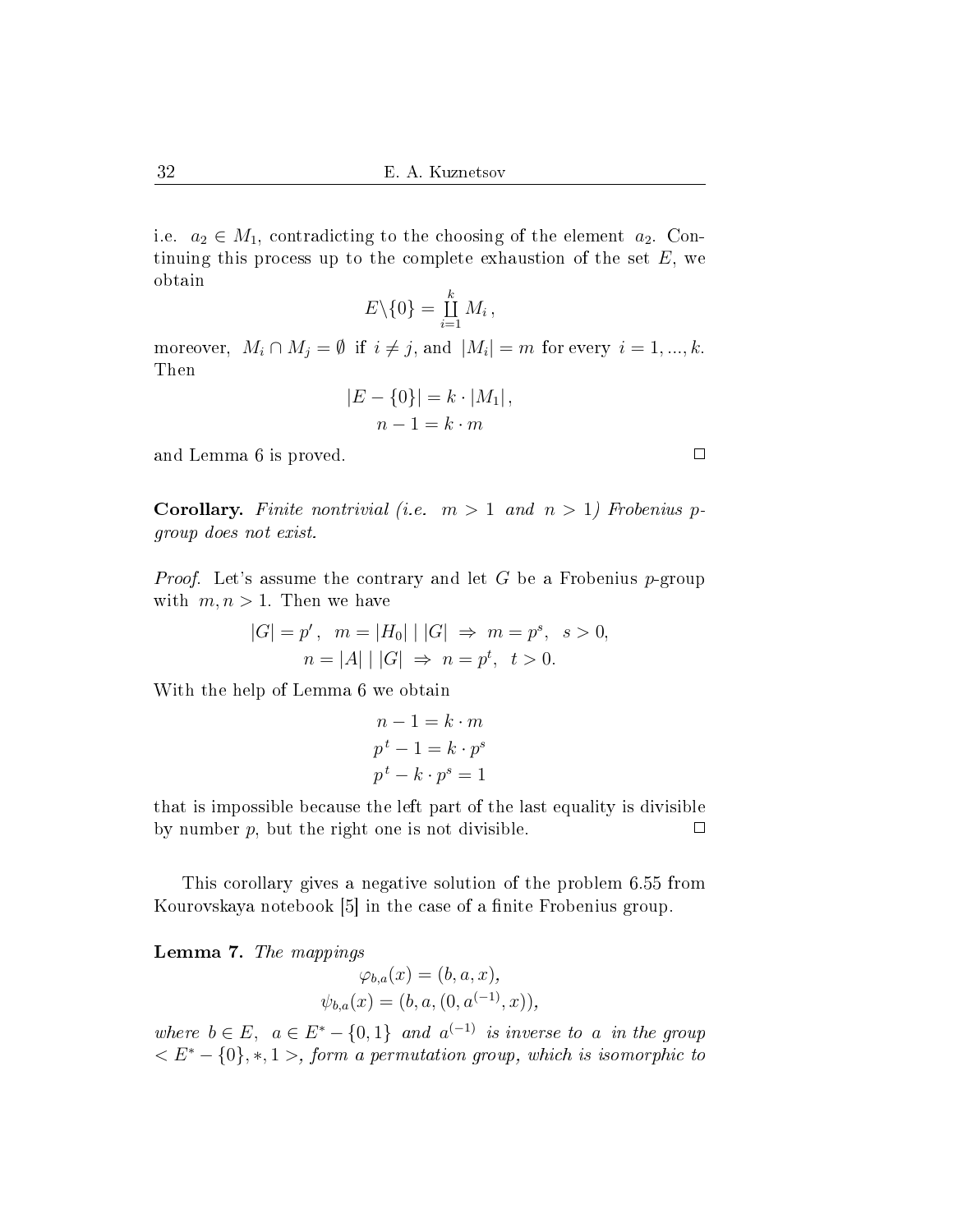i.e.  $a_2 \in M_1$ , contradicting to the choosing of the element  $a_2$ . Continuing this process up to the complete exhaustion of the set  $E$ , we obtain

$$
E\backslash\{0\}=\coprod_{i=1}^k M_i\,,
$$

moreover,  $M_i \cap M_j = \emptyset$  if  $i \neq j$ , and  $|M_i| = m$  for every  $i = 1, ..., k$ . Then

$$
|E - \{0\}| = k \cdot |M_1|,
$$
  

$$
n - 1 = k \cdot m
$$

and Lemma 6 is proved.

**Corollary.** Finite nontrivial (i.e.  $m > 1$  and  $n > 1$ ) Frobenius pgroup does not exist.

Proof. Let's assume the contrary and let G be a Frobenius p-group with  $m, n > 1$ . Then we have

$$
|G| = p', \quad m = |H_0| \mid |G| \Rightarrow m = p^s, \quad s > 0,
$$
  

$$
n = |A| \mid |G| \Rightarrow n = p^t, \quad t > 0.
$$

With the help of Lemma 6 we obtain

$$
n - 1 = k \cdot m
$$

$$
pt - 1 = k \cdot ps
$$

$$
pt - k \cdot ps = 1
$$

that is impossible because the left part of the last equality is divisible by number  $p$ , but the right one is not divisible.  $\Box$ 

This corollary gives a negative solution of the problem 6.55 from Kourovskaya notebook [5] in the case of a finite Frobenius group.

Lemma 7. The mappings

$$
\varphi_{b,a}(x) = (b, a, x),
$$
  

$$
\psi_{b,a}(x) = (b, a, (0, a^{(-1)}, x)),
$$

where  $b \in E$ ,  $a \in E^* - \{0, 1\}$  and  $a^{(-1)}$  is inverse to a in the group  $\langle E^* - \{0\}, *, 1 \rangle$ , form a permutation group, which is isomorphic to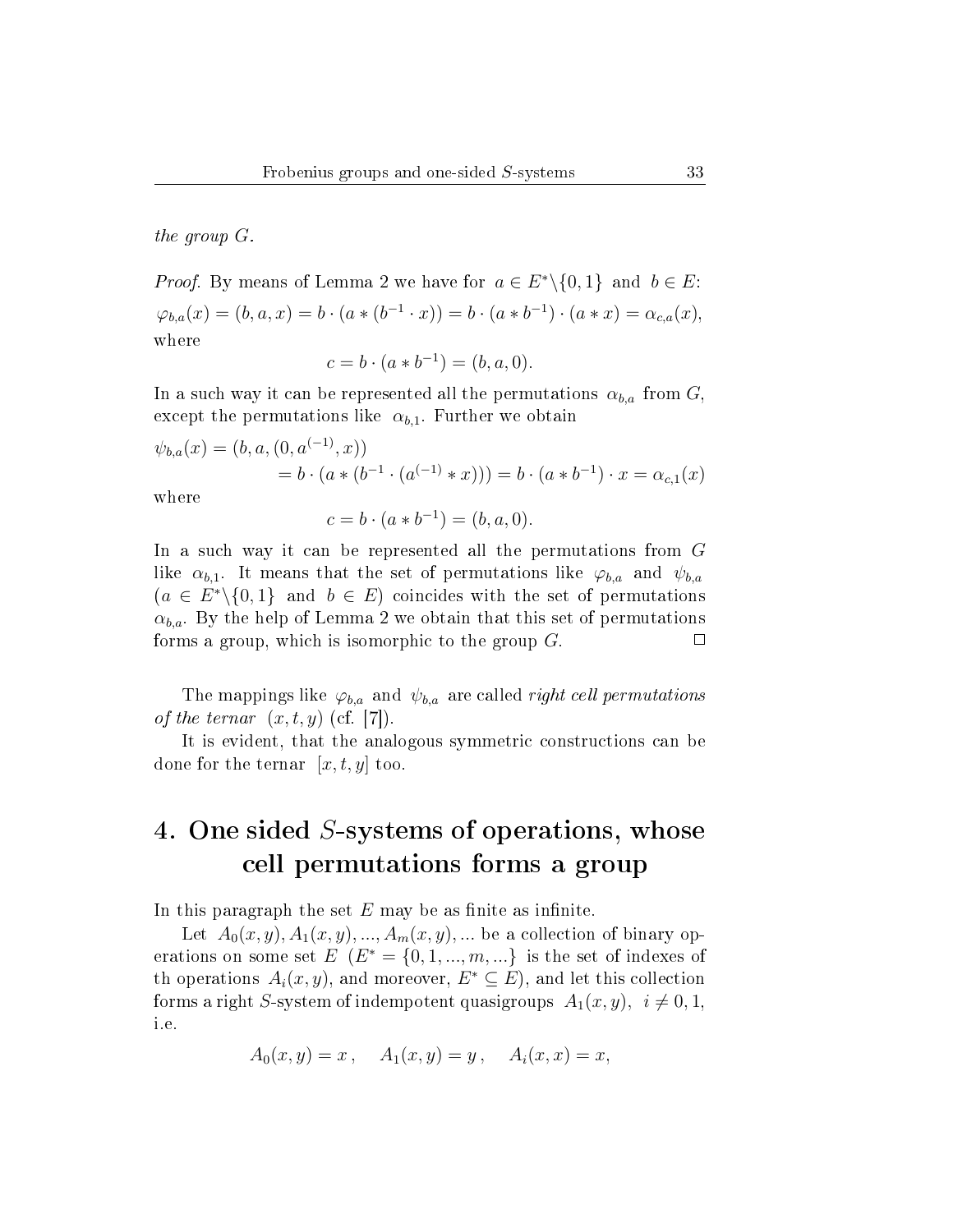the group G.

*Proof.* By means of Lemma 2 we have for  $a \in E^* \setminus \{0, 1\}$  and  $b \in E$ :  $\varphi_{b,a}(x) = (b, a, x) = b \cdot (a * (b^{-1} \cdot x)) = b \cdot (a * b^{-1}) \cdot (a * x) = \alpha_{c,a}(x),$ where

$$
c = b \cdot (a * b^{-1}) = (b, a, 0).
$$

In a such way it can be represented all the permutations  $\alpha_{b,a}$  from  $G$ , except the permutations like  $\alpha_{b,1}$ . Further we obtain

$$
\psi_{b,a}(x) = (b, a, (0, a^{(-1)}, x))
$$
  
=  $b \cdot (a * (b^{-1} \cdot (a^{(-1)} * x))) = b \cdot (a * b^{-1}) \cdot x = \alpha_{c,1}(x)$ 

where

$$
c = b \cdot (a * b^{-1}) = (b, a, 0).
$$

In a such way it can be represented all the permutations from G like  $\alpha_{b,1}$ . It means that the set of permutations like  $\varphi_{b,a}$  and  $\psi_{b,a}$  $(a \in E^*\backslash \{0,1\}$  and  $b \in E)$  coincides with the set of permutations  $\alpha_{b,a}$ . By the help of Lemma 2 we obtain that this set of permutations forms a group, which is isomorphic to the group G.  $\Box$ 

The mappings like  $\varphi_{b,a}$  and  $\psi_{b,a}$  are called *right cell permutations* of the ternar  $(x, t, y)$  (cf. [7]).

It is evident, that the analogous symmetric constructions can be done for the ternar  $[x, t, y]$  too.

# 4. One sided S-systems of operations, whose cell permutations forms a group

In this paragraph the set  $E$  may be as finite as infinite.

Let  $A_0(x, y), A_1(x, y), \ldots, A_m(x, y), \ldots$  be a collection of binary operations on some set  $E$   $(E^* = \{0, 1, ..., m, ...\}$  is the set of indexes of th operations  $A_i(x, y)$ , and moreover,  $E^* \subseteq E$ ), and let this collection forms a right S-system of indempotent quasigroups  $A_1(x, y)$ ,  $i \neq 0, 1$ , i.e.

$$
A_0(x, y) = x
$$
,  $A_1(x, y) = y$ ,  $A_i(x, x) = x$ ,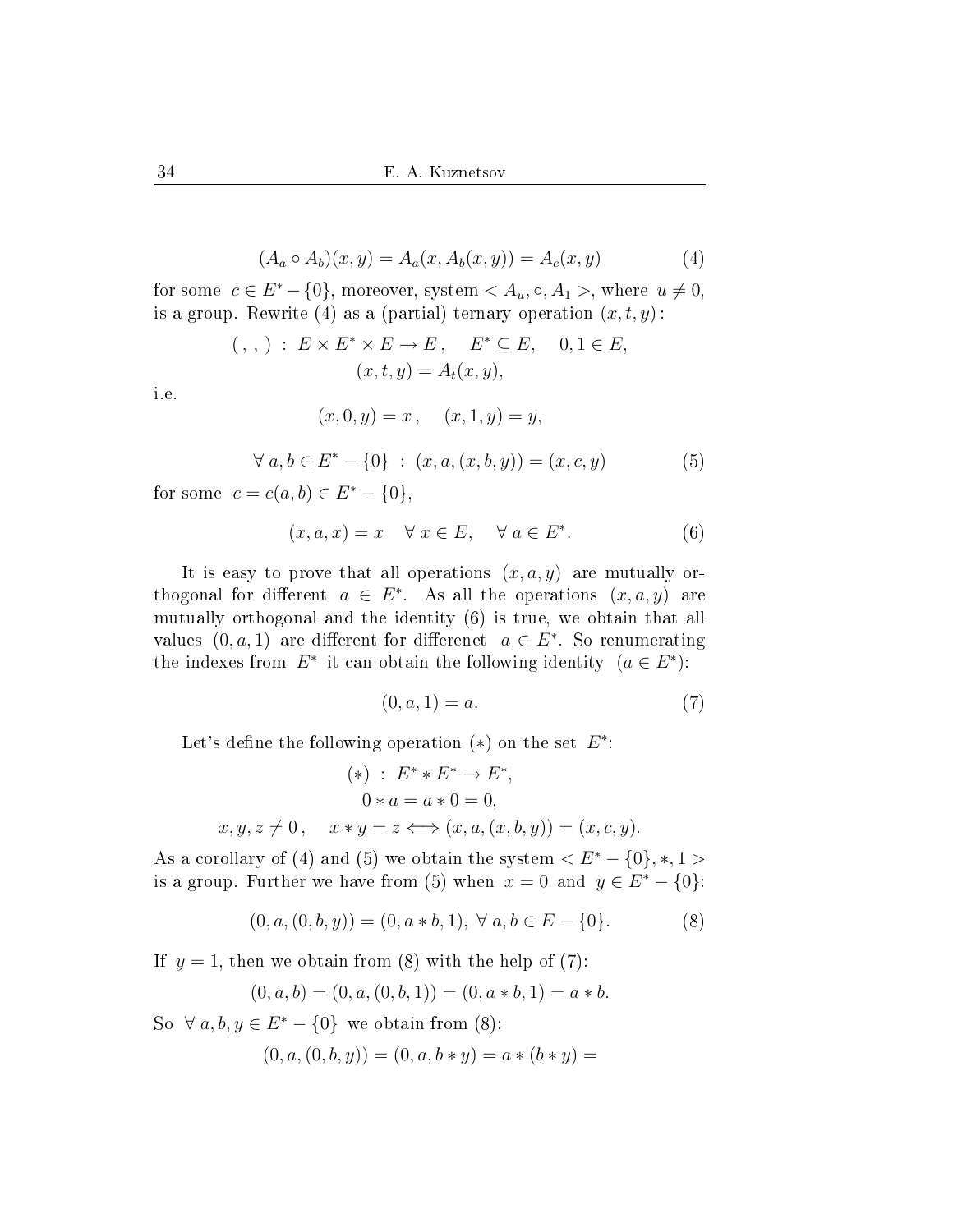$$
(A_a \circ A_b)(x, y) = A_a(x, A_b(x, y)) = A_c(x, y)
$$
 (4)

for some  $c \in E^* - \{0\}$ , moreover, system  $\langle A_u, \circ, A_1 \rangle$ , where  $u \neq 0$ , is a group. Rewrite (4) as a (partial) ternary operation  $(x, t, y)$ :

$$
( , , ) : E \times E^* \times E \to E, \quad E^* \subseteq E, \quad 0, 1 \in E,
$$
  

$$
(x, t, y) = A_t(x, y),
$$

i.e.

$$
(x, 0, y) = x, \quad (x, 1, y) = y,
$$
  

$$
\forall a, b \in E^* - \{0\} : (x, a, (x, b, y)) = (x, c, y)
$$
 (5)

for some  $c = c(a, b) \in E^* - \{0\},\$ 

$$
(x, a, x) = x \quad \forall x \in E, \quad \forall a \in E^*.
$$
 (6)

It is easy to prove that all operations  $(x, a, y)$  are mutually orthogonal for different  $a \in E^*$ . As all the operations  $(x, a, y)$  are mutually orthogonal and the identity (6) is true, we obtain that all values  $(0, a, 1)$  are different for differenet  $a \in E^*$ . So renumerating the indexes from  $E^*$  it can obtain the following identity  $(a \in E^*)$ :

$$
(0, a, 1) = a.
$$
 (7)

Let's define the following operation  $(*)$  on the set  $E^*$ :

$$
(*) : E^* * E^* \to E^*,
$$
  
\n
$$
0 * a = a * 0 = 0,
$$
  
\n
$$
x, y, z \neq 0, \quad x * y = z \Longleftrightarrow (x, a, (x, b, y)) = (x, c, y).
$$

As a corollary of (4) and (5) we obtain the system  $\langle E^* - \{0\}, *, 1 \rangle$ is a group. Further we have from (5) when  $x = 0$  and  $y \in E^* - \{0\}$ :

$$
(0, a, (0, b, y)) = (0, a * b, 1), \forall a, b \in E - \{0\}.
$$
 (8)

If  $y = 1$ , then we obtain from (8) with the help of (7):

$$
(0, a, b) = (0, a, (0, b, 1)) = (0, a * b, 1) = a * b.
$$

So  $\forall a, b, y \in E^* - \{0\}$  we obtain from (8):  $(0, a, (0, b, y)) = (0, a, b * y) = a * (b * y) =$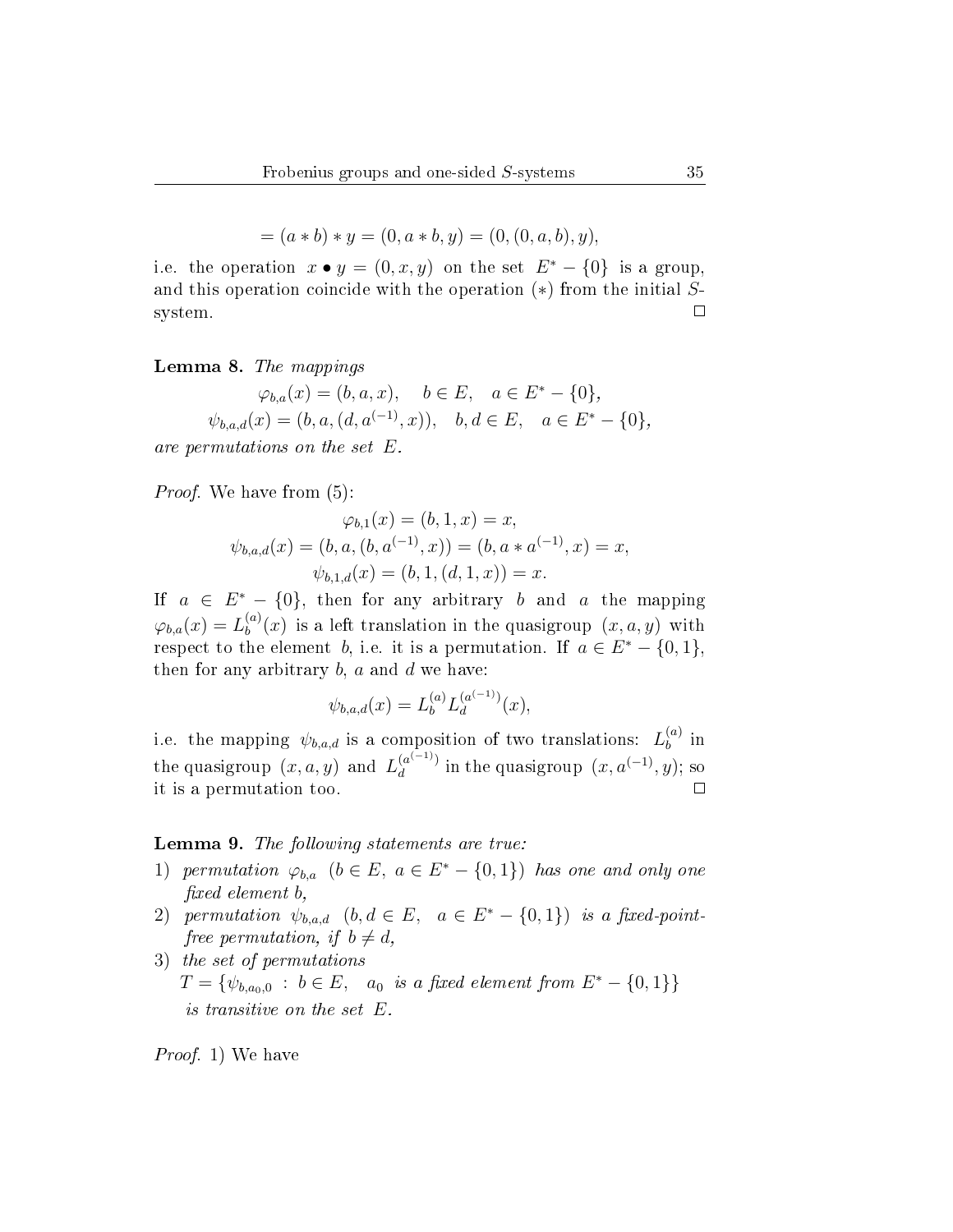$$
= (a * b) * y = (0, a * b, y) = (0, (0, a, b), y),
$$

i.e. the operation  $x \bullet y = (0, x, y)$  on the set  $E^* - \{0\}$  is a group, and this operation coincide with the operation  $(*)$  from the initial S- $\Box$ system.

Lemma 8. The mappings

$$
\varphi_{b,a}(x) = (b, a, x), \quad b \in E, \quad a \in E^* - \{0\},
$$
  

$$
\psi_{b,a,d}(x) = (b, a, (d, a^{(-1)}, x)), \quad b, d \in E, \quad a \in E^* - \{0\},
$$

are permutations on the set E.

*Proof.* We have from  $(5)$ :

$$
\varphi_{b,1}(x) = (b, 1, x) = x,
$$
  

$$
\psi_{b,a,d}(x) = (b, a, (b, a^{(-1)}, x)) = (b, a * a^{(-1)}, x) = x,
$$
  

$$
\psi_{b,1,d}(x) = (b, 1, (d, 1, x)) = x.
$$

If  $a \in E^* - \{0\}$ , then for any arbitrary b and a the mapping  $\varphi_{b,a}(x) = L_b^{(a)}$  $b^{(a)}_b(x)$  is a left translation in the quasigroup  $(x, a, y)$  with respect to the element b, i.e. it is a permutation. If  $a \in E^* - \{0, 1\}$ , then for any arbitrary  $b$ ,  $a$  and  $d$  we have:

$$
\psi_{b,a,d}(x) = L_b^{(a)} L_d^{(a^{(-1)})}(x),
$$

i.e. the mapping  $\psi_{b,a,d}$  is a composition of two translations:  $L_b^{(a)}$  $\binom{a}{b}$  in the quasigroup  $(x, a, y)$  and  $L_d^{(a^{(-1)})}$  $\frac{a^{(-1)}}{d}$  in the quasigroup  $(x, a^{(-1)}, y)$ ; so it is a permutation too.

#### Lemma 9. The following statements are true:

- 1) permutation  $\varphi_{b,a}$   $(b \in E, a \in E^* \{0,1\})$  has one and only one xed element b,
- 2) permutation  $\psi_{b,a,d}$   $(b,d \in E, a \in E^* \{0,1\})$  is a fixed-pointfree permutation, if  $b \neq d$ ,
- 3) the set of permutations  $T = \{ \psi_{b,a_0,0} : b \in E, a_0 \text{ is a fixed element from } E^* - \{0,1\} \}$ is transitive on the set E.

Proof. 1) We have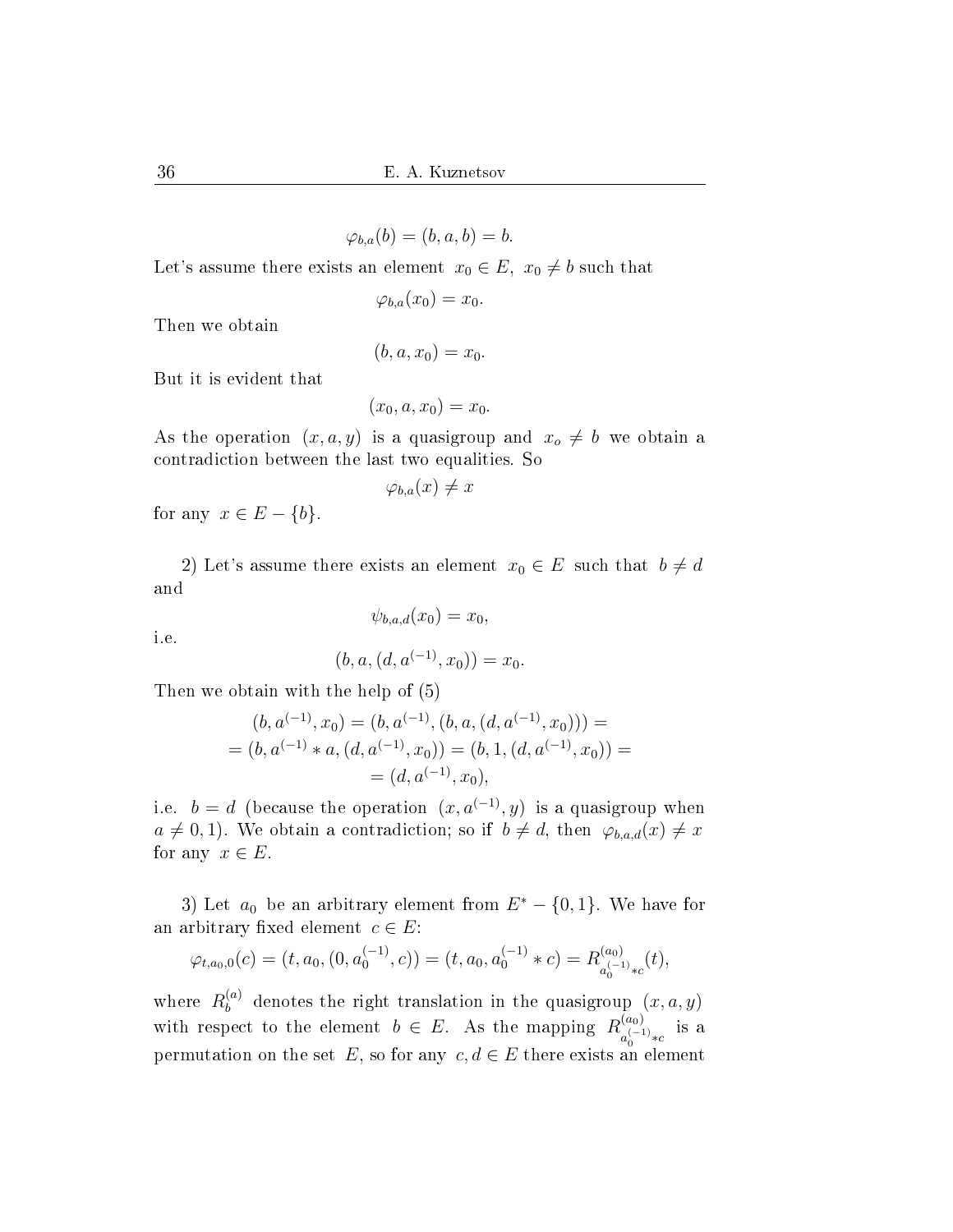$$
\varphi_{b,a}(b) = (b, a, b) = b.
$$

Let's assume there exists an element  $x_0 \in E$ ,  $x_0 \neq b$  such that

 $\varphi_{b,a}(x_0) = x_0.$ 

Then we obtain

$$
(b, a, x_0) = x_0.
$$

But it is evident that

$$
(x_0, a, x_0) = x_0.
$$

As the operation  $(x, a, y)$  is a quasigroup and  $x_o \neq b$  we obtain a contradiction between the last two equalities. So

$$
\varphi_{b,a}(x) \neq x
$$

for any  $x \in E - \{b\}.$ 

2) Let's assume there exists an element  $x_0 \in E$  such that  $b \neq d$ and

 $\psi_{b,a,d}(x_0) = x_0,$ 

i.e.

$$
(b, a, (d, a^{(-1)}, x_0)) = x_0.
$$

Then we obtain with the help of (5)

$$
(b, a^{(-1)}, x_0) = (b, a^{(-1)}, (b, a, (d, a^{(-1)}, x_0))) =
$$
  
=  $(b, a^{(-1)} * a, (d, a^{(-1)}, x_0)) = (b, 1, (d, a^{(-1)}, x_0)) =$   
=  $(d, a^{(-1)}, x_0),$ 

i.e.  $b = d$  (because the operation  $(x, a^{(-1)}, y)$  is a quasigroup when  $a \neq 0, 1$ . We obtain a contradiction; so if  $b \neq d$ , then  $\varphi_{b,a,d}(x) \neq x$ for any  $x \in E$ .

3) Let  $a_0$  be an arbitrary element from  $E^* - \{0, 1\}$ . We have for an arbitrary fixed element  $c \in E$ :

$$
\varphi_{t,a_0,0}(c) = (t, a_0, (0, a_0^{(-1)}, c)) = (t, a_0, a_0^{(-1)} * c) = R_{a_0^{(-1)} * c}^{(a_0)}(t),
$$

where  $R_b^{(a)}$  denotes the right translation in the quasigroup  $(x, a, y)$ with respect to the element  $b \in E$ . As the mapping  $R_{(-)}^{(a_0)}$  $\frac{(a_0)}{a_0^{(-1)} * c}$  is a permutation on the set E, so for any  $c, d \in E$  there exists an element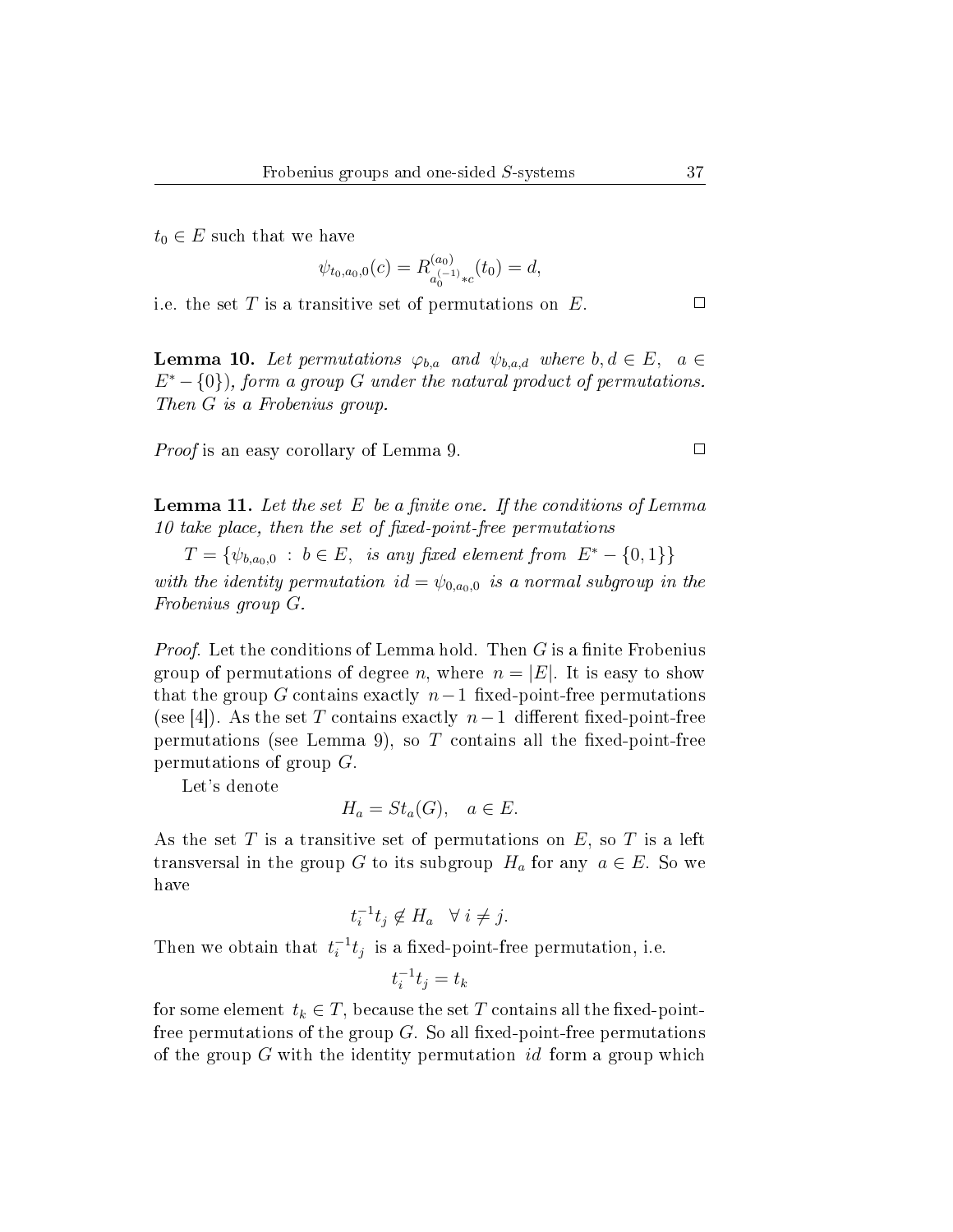$t_0 \in E$  such that we have

$$
\psi_{t_0,a_0,0}(c) = R_{a_0^{(-1)}*c}^{(a_0)}(t_0) = d,
$$

i.e. the set  $T$  is a transitive set of permutations on  $E$ .

**Lemma 10.** Let permutations  $\varphi_{b,a}$  and  $\psi_{b,a,d}$  where  $b, d \in E$ ,  $a \in$  $E^* - \{0\}$ , form a group G under the natural product of permutations. Then G is a Frobenius group.

Proof is an easy corollary of Lemma 9.

**Lemma 11.** Let the set E be a finite one. If the conditions of Lemma  $10$  take place, then the set of fixed-point-free permutations

 $T = \{ \psi_{b,a_0,0} : b \in E, \text{ is any fixed element from } E^* - \{0,1\} \}$ with the identity permutation id =  $\psi_{0,a_0,0}$  is a normal subgroup in the Frobenius group G.

*Proof.* Let the conditions of Lemma hold. Then  $G$  is a finite Frobenius group of permutations of degree n, where  $n = |E|$ . It is easy to show that the group G contains exactly  $n-1$  fixed-point-free permutations (see [4]). As the set T contains exactly  $n-1$  different fixed-point-free permutations (see Lemma 9), so  $T$  contains all the fixed-point-free permutations of group G.

Let's denote

$$
H_a = St_a(G), \quad a \in E.
$$

As the set T is a transitive set of permutations on  $E$ , so T is a left transversal in the group G to its subgroup  $H_a$  for any  $a \in E$ . So we have

$$
t_i^{-1}t_j \notin H_a \quad \forall \ i \neq j.
$$

Then we obtain that  $t_i^{-1}t_j$  is a fixed-point-free permutation, i.e.

$$
t_i^{-1}t_j = t_k
$$

for some element  $t_k \in T$ , because the set T contains all the fixed-pointfree permutations of the group  $G$ . So all fixed-point-free permutations of the group  $G$  with the identity permutation id form a group which

 $\Box$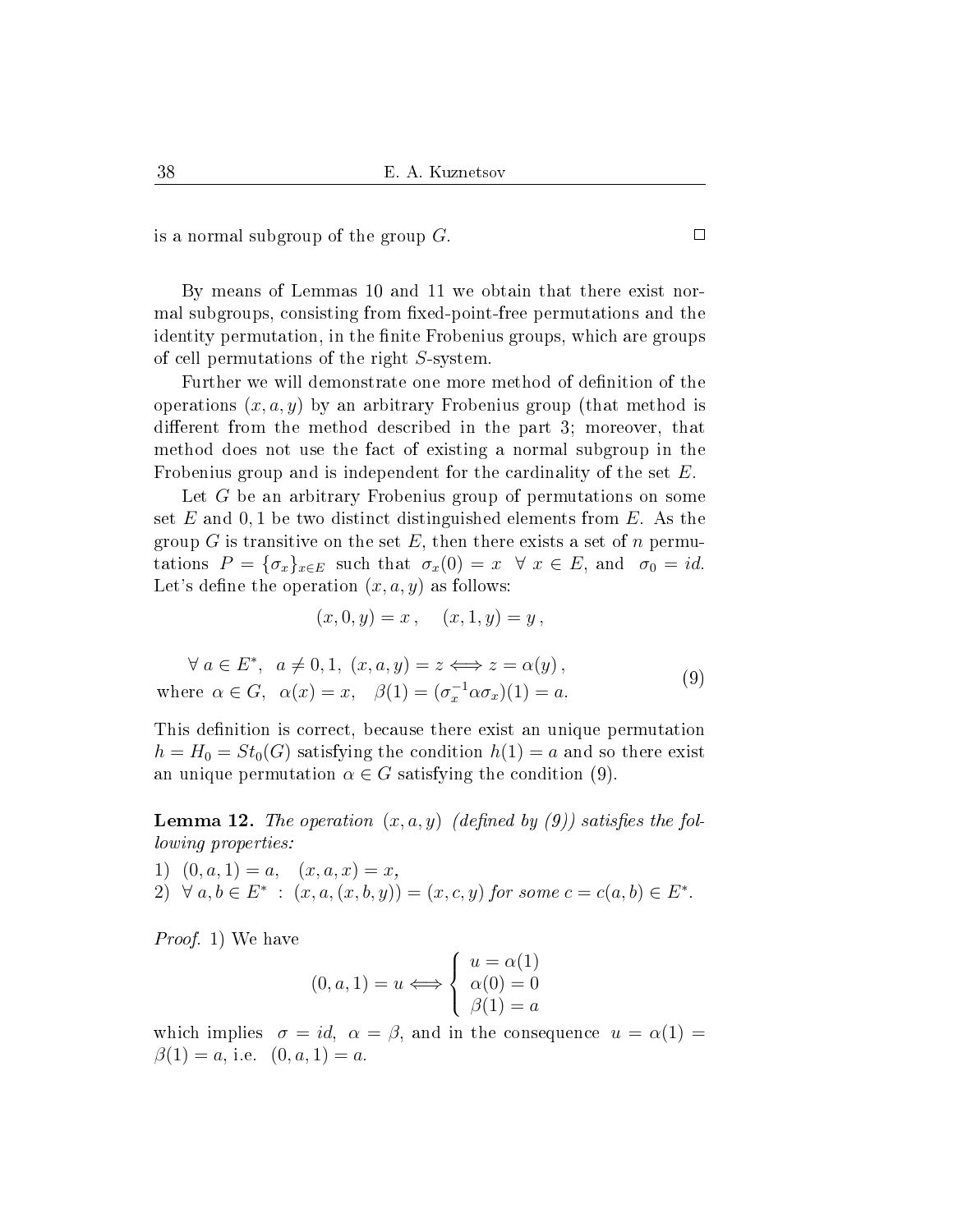is a normal subgroup of the group  $G$ .

By means of Lemmas 10 and 11 we obtain that there exist normal subgroups, consisting from fixed-point-free permutations and the identity permutation, in the finite Frobenius groups, which are groups of cell permutations of the right S-system.

Further we will demonstrate one more method of definition of the operations  $(x, a, y)$  by an arbitrary Frobenius group (that method is different from the method described in the part 3; moreover, that method does not use the fact of existing a normal subgroup in the Frobenius group and is independent for the cardinality of the set E.

Let G be an arbitrary Frobenius group of permutations on some set  $E$  and 0, 1 be two distinct distinguished elements from  $E$ . As the group G is transitive on the set E, then there exists a set of  $n$  permutations  $P = {\sigma_x}_{x \in E}$  such that  $\sigma_x(0) = x \ \forall x \in E$ , and  $\sigma_0 = id$ . Let's define the operation  $(x, a, y)$  as follows:

$$
(x, 0, y) = x
$$
,  $(x, 1, y) = y$ ,

 $\forall a \in E^*, \ a \neq 0, 1, (x, a, y) = z \iff z = \alpha(y),$ where  $\alpha \in G$ ,  $\alpha(x) = x$ ,  $\beta(1) = (\sigma_x^{-1} \alpha \sigma_x)(1) = a$ . (9)

This definition is correct, because there exist an unique permutation  $h = H_0 = St_0(G)$  satisfying the condition  $h(1) = a$  and so there exist an unique permutation  $\alpha \in G$  satisfying the condition (9).

**Lemma 12.** The operation  $(x, a, y)$  (defined by (9)) satisfies the following properties:

1)  $(0, a, 1) = a, (x, a, x) = x,$ 

2) 
$$
\forall a, b \in E^* : (x, a, (x, b, y)) = (x, c, y)
$$
 for some  $c = c(a, b) \in E^*$ .

Proof. 1) We have

$$
(0, a, 1) = u \Longleftrightarrow \begin{cases} u = \alpha(1) \\ \alpha(0) = 0 \\ \beta(1) = a \end{cases}
$$

which implies  $\sigma = id$ ,  $\alpha = \beta$ , and in the consequence  $u = \alpha(1)$  $\beta(1) = a$ , i.e.  $(0, a, 1) = a$ .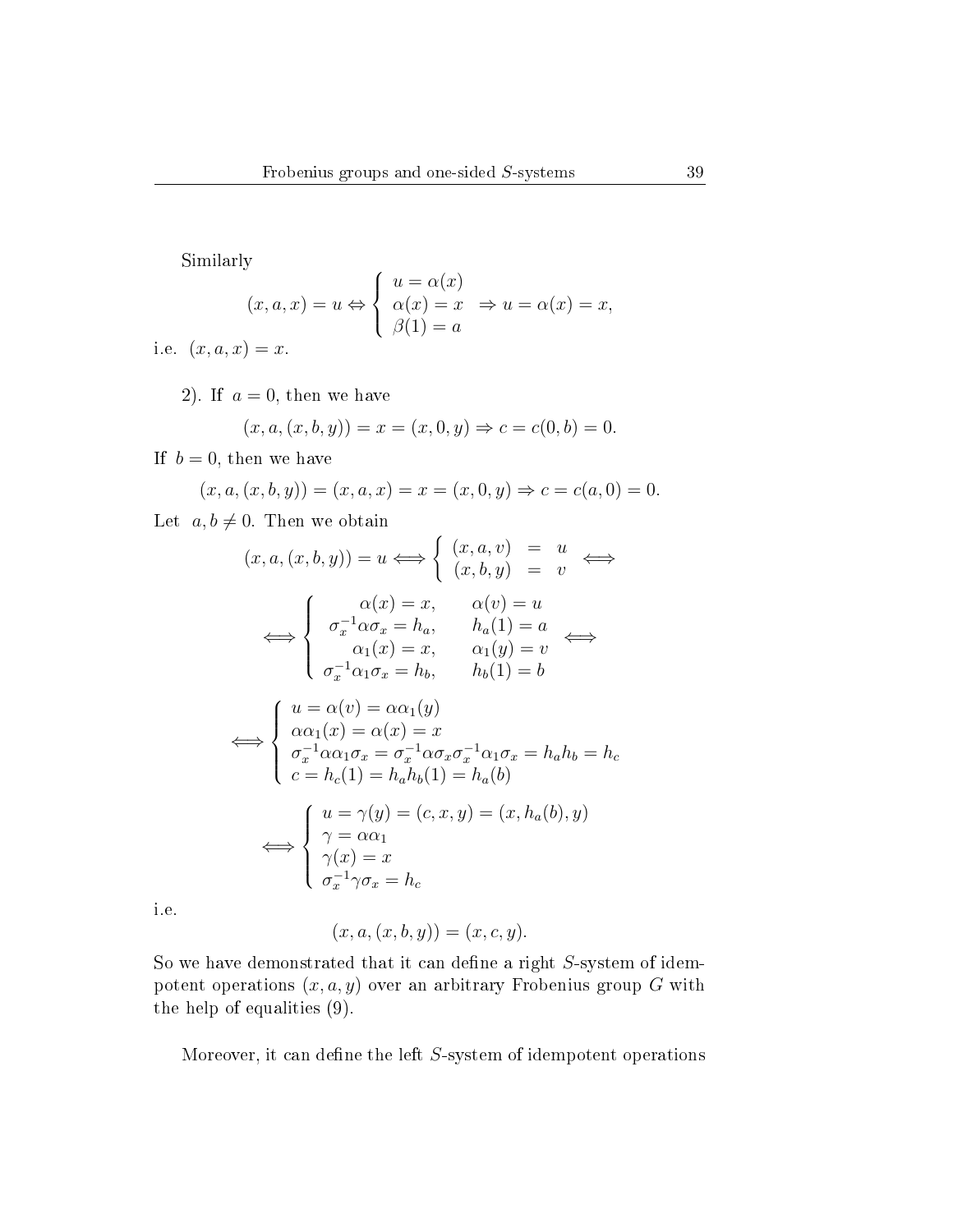Similarly

$$
\begin{aligned} \n\text{1y} \\ \n(x, a, x) &= u \Leftrightarrow \n\begin{cases} \n u &= \alpha(x) \\ \n \alpha(x) &= x \\ \n \beta(1) &= a \n\end{cases} \Rightarrow u = \alpha(x) = x, \n\end{aligned}
$$

i.e.  $(x, a, x) = x$ .

2). If  $a = 0$ , then we have

$$
(x, a, (x, b, y)) = x = (x, 0, y) \Rightarrow c = c(0, b) = 0.
$$

If  $b = 0$ , then we have

$$
(x, a, (x, b, y)) = (x, a, x) = x = (x, 0, y) \Rightarrow c = c(a, 0) = 0.
$$

Let  $a, b \neq 0$ . Then we obtain

$$
(x, a, (x, b, y)) = u \Longleftrightarrow \begin{cases} (x, a, v) = u \\ (x, b, y) = v \end{cases} \Longleftrightarrow
$$
  

$$
\Longleftrightarrow \begin{cases} \alpha(x) = x, & \alpha(v) = u \\ \sigma_x^{-1} \alpha \sigma_x = h_a, & h_a(1) = a \\ \alpha_1(x) = x, & \alpha_1(y) = v \\ \sigma_x^{-1} \alpha_1 \sigma_x = h_b, & h_b(1) = b \end{cases}
$$

$$
\iff \begin{cases}\n u = \alpha(v) = \alpha \alpha_1(y) \\
 \alpha \alpha_1(x) = \alpha(x) = x \\
 \sigma_x^{-1} \alpha \alpha_1 \sigma_x = \sigma_x^{-1} \alpha \sigma_x \sigma_x^{-1} \alpha_1 \sigma_x = h_a h_b = h_c \\
 c = h_c(1) = h_a h_b(1) = h_a(b)\n\end{cases}
$$
\n
$$
\iff \begin{cases}\n u = \gamma(y) = (c, x, y) = (x, h_a(b), y) \\
 \gamma = \alpha \alpha_1 \\
 \gamma(x) = x \\
 \sigma_x^{-1} \gamma \sigma_x = h_c\n\end{cases}
$$

i.e.

$$
(x, a, (x, b, y)) = (x, c, y).
$$

So we have demonstrated that it can define a right  $S$ -system of idempotent operations  $(x, a, y)$  over an arbitrary Frobenius group G with the help of equalities (9).

Moreover, it can define the left  $S$ -system of idempotent operations